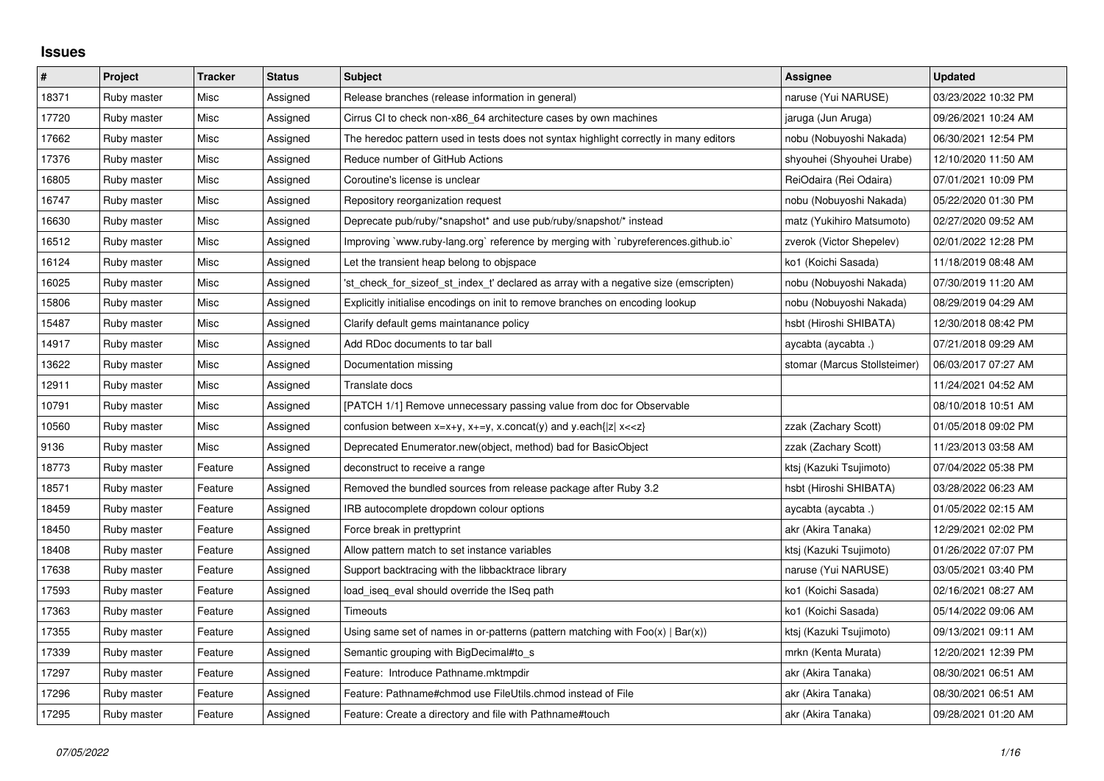## **Issues**

| $\sharp$ | Project     | <b>Tracker</b> | <b>Status</b> | <b>Subject</b>                                                                                                                          | Assignee                     | <b>Updated</b>      |
|----------|-------------|----------------|---------------|-----------------------------------------------------------------------------------------------------------------------------------------|------------------------------|---------------------|
| 18371    | Ruby master | Misc           | Assigned      | Release branches (release information in general)                                                                                       | naruse (Yui NARUSE)          | 03/23/2022 10:32 PM |
| 17720    | Ruby master | Misc           | Assigned      | Cirrus CI to check non-x86_64 architecture cases by own machines                                                                        | jaruga (Jun Aruga)           | 09/26/2021 10:24 AM |
| 17662    | Ruby master | Misc           | Assigned      | The heredoc pattern used in tests does not syntax highlight correctly in many editors                                                   | nobu (Nobuyoshi Nakada)      | 06/30/2021 12:54 PM |
| 17376    | Ruby master | Misc           | Assigned      | Reduce number of GitHub Actions                                                                                                         | shyouhei (Shyouhei Urabe)    | 12/10/2020 11:50 AM |
| 16805    | Ruby master | Misc           | Assigned      | Coroutine's license is unclear                                                                                                          | ReiOdaira (Rei Odaira)       | 07/01/2021 10:09 PM |
| 16747    | Ruby master | Misc           | Assigned      | Repository reorganization request                                                                                                       | nobu (Nobuyoshi Nakada)      | 05/22/2020 01:30 PM |
| 16630    | Ruby master | Misc           | Assigned      | Deprecate pub/ruby/*snapshot* and use pub/ruby/snapshot/* instead                                                                       | matz (Yukihiro Matsumoto)    | 02/27/2020 09:52 AM |
| 16512    | Ruby master | Misc           | Assigned      | Improving `www.ruby-lang.org` reference by merging with `rubyreferences.github.io`                                                      | zverok (Victor Shepelev)     | 02/01/2022 12:28 PM |
| 16124    | Ruby master | Misc           | Assigned      | Let the transient heap belong to objspace                                                                                               | ko1 (Koichi Sasada)          | 11/18/2019 08:48 AM |
| 16025    | Ruby master | Misc           | Assigned      | 'st_check_for_sizeof_st_index_t' declared as array with a negative size (emscripten)                                                    | nobu (Nobuyoshi Nakada)      | 07/30/2019 11:20 AM |
| 15806    | Ruby master | Misc           | Assigned      | Explicitly initialise encodings on init to remove branches on encoding lookup                                                           | nobu (Nobuyoshi Nakada)      | 08/29/2019 04:29 AM |
| 15487    | Ruby master | Misc           | Assigned      | Clarify default gems maintanance policy                                                                                                 | hsbt (Hiroshi SHIBATA)       | 12/30/2018 08:42 PM |
| 14917    | Ruby master | Misc           | Assigned      | Add RDoc documents to tar ball                                                                                                          | aycabta (aycabta.)           | 07/21/2018 09:29 AM |
| 13622    | Ruby master | Misc           | Assigned      | Documentation missing                                                                                                                   | stomar (Marcus Stollsteimer) | 06/03/2017 07:27 AM |
| 12911    | Ruby master | Misc           | Assigned      | Translate docs                                                                                                                          |                              | 11/24/2021 04:52 AM |
| 10791    | Ruby master | Misc           | Assigned      | [PATCH 1/1] Remove unnecessary passing value from doc for Observable                                                                    |                              | 08/10/2018 10:51 AM |
| 10560    | Ruby master | Misc           | Assigned      | confusion between x=x+y, x+=y, x.concat(y) and y.each{ z  x< <z}< td=""><td>zzak (Zachary Scott)</td><td>01/05/2018 09:02 PM</td></z}<> | zzak (Zachary Scott)         | 01/05/2018 09:02 PM |
| 9136     | Ruby master | Misc           | Assigned      | Deprecated Enumerator.new(object, method) bad for BasicObject                                                                           | zzak (Zachary Scott)         | 11/23/2013 03:58 AM |
| 18773    | Ruby master | Feature        | Assigned      | deconstruct to receive a range                                                                                                          | ktsj (Kazuki Tsujimoto)      | 07/04/2022 05:38 PM |
| 18571    | Ruby master | Feature        | Assigned      | Removed the bundled sources from release package after Ruby 3.2                                                                         | hsbt (Hiroshi SHIBATA)       | 03/28/2022 06:23 AM |
| 18459    | Ruby master | Feature        | Assigned      | IRB autocomplete dropdown colour options                                                                                                | aycabta (aycabta.)           | 01/05/2022 02:15 AM |
| 18450    | Ruby master | Feature        | Assigned      | Force break in prettyprint                                                                                                              | akr (Akira Tanaka)           | 12/29/2021 02:02 PM |
| 18408    | Ruby master | Feature        | Assigned      | Allow pattern match to set instance variables                                                                                           | ktsj (Kazuki Tsujimoto)      | 01/26/2022 07:07 PM |
| 17638    | Ruby master | Feature        | Assigned      | Support backtracing with the libbacktrace library                                                                                       | naruse (Yui NARUSE)          | 03/05/2021 03:40 PM |
| 17593    | Ruby master | Feature        | Assigned      | load_iseq_eval should override the ISeq path                                                                                            | ko1 (Koichi Sasada)          | 02/16/2021 08:27 AM |
| 17363    | Ruby master | Feature        | Assigned      | Timeouts                                                                                                                                | ko1 (Koichi Sasada)          | 05/14/2022 09:06 AM |
| 17355    | Ruby master | Feature        | Assigned      | Using same set of names in or-patterns (pattern matching with $Foo(x)   Bar(x)$ )                                                       | ktsj (Kazuki Tsujimoto)      | 09/13/2021 09:11 AM |
| 17339    | Ruby master | Feature        | Assigned      | Semantic grouping with BigDecimal#to s                                                                                                  | mrkn (Kenta Murata)          | 12/20/2021 12:39 PM |
| 17297    | Ruby master | Feature        | Assigned      | Feature: Introduce Pathname.mktmpdir                                                                                                    | akr (Akira Tanaka)           | 08/30/2021 06:51 AM |
| 17296    | Ruby master | Feature        | Assigned      | Feature: Pathname#chmod use FileUtils.chmod instead of File                                                                             | akr (Akira Tanaka)           | 08/30/2021 06:51 AM |
| 17295    | Ruby master | Feature        | Assigned      | Feature: Create a directory and file with Pathname#touch                                                                                | akr (Akira Tanaka)           | 09/28/2021 01:20 AM |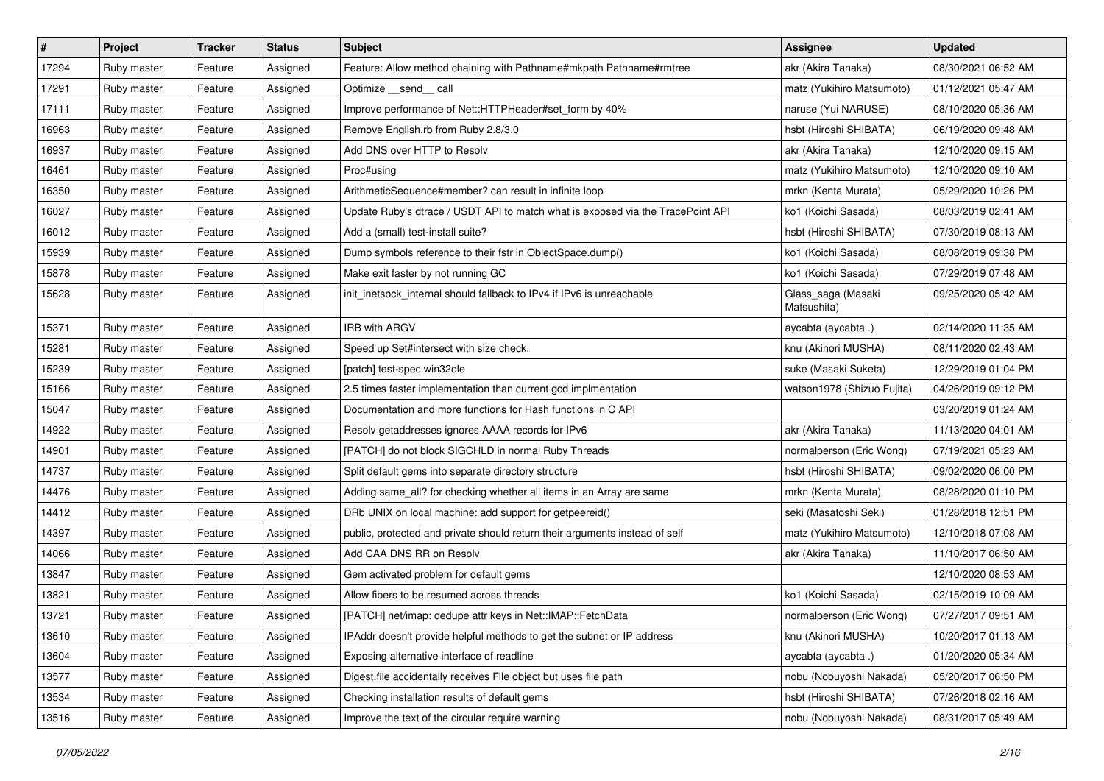| $\vert$ # | Project     | <b>Tracker</b> | <b>Status</b> | Subject                                                                         | Assignee                          | <b>Updated</b>      |
|-----------|-------------|----------------|---------------|---------------------------------------------------------------------------------|-----------------------------------|---------------------|
| 17294     | Ruby master | Feature        | Assigned      | Feature: Allow method chaining with Pathname#mkpath Pathname#rmtree             | akr (Akira Tanaka)                | 08/30/2021 06:52 AM |
| 17291     | Ruby master | Feature        | Assigned      | Optimize __send__ call                                                          | matz (Yukihiro Matsumoto)         | 01/12/2021 05:47 AM |
| 17111     | Ruby master | Feature        | Assigned      | Improve performance of Net::HTTPHeader#set_form by 40%                          | naruse (Yui NARUSE)               | 08/10/2020 05:36 AM |
| 16963     | Ruby master | Feature        | Assigned      | Remove English.rb from Ruby 2.8/3.0                                             | hsbt (Hiroshi SHIBATA)            | 06/19/2020 09:48 AM |
| 16937     | Ruby master | Feature        | Assigned      | Add DNS over HTTP to Resolv                                                     | akr (Akira Tanaka)                | 12/10/2020 09:15 AM |
| 16461     | Ruby master | Feature        | Assigned      | Proc#using                                                                      | matz (Yukihiro Matsumoto)         | 12/10/2020 09:10 AM |
| 16350     | Ruby master | Feature        | Assigned      | ArithmeticSequence#member? can result in infinite loop                          | mrkn (Kenta Murata)               | 05/29/2020 10:26 PM |
| 16027     | Ruby master | Feature        | Assigned      | Update Ruby's dtrace / USDT API to match what is exposed via the TracePoint API | ko1 (Koichi Sasada)               | 08/03/2019 02:41 AM |
| 16012     | Ruby master | Feature        | Assigned      | Add a (small) test-install suite?                                               | hsbt (Hiroshi SHIBATA)            | 07/30/2019 08:13 AM |
| 15939     | Ruby master | Feature        | Assigned      | Dump symbols reference to their fstr in ObjectSpace.dump()                      | ko1 (Koichi Sasada)               | 08/08/2019 09:38 PM |
| 15878     | Ruby master | Feature        | Assigned      | Make exit faster by not running GC                                              | ko1 (Koichi Sasada)               | 07/29/2019 07:48 AM |
| 15628     | Ruby master | Feature        | Assigned      | init_inetsock_internal should fallback to IPv4 if IPv6 is unreachable           | Glass_saga (Masaki<br>Matsushita) | 09/25/2020 05:42 AM |
| 15371     | Ruby master | Feature        | Assigned      | <b>IRB with ARGV</b>                                                            | aycabta (aycabta .)               | 02/14/2020 11:35 AM |
| 15281     | Ruby master | Feature        | Assigned      | Speed up Set#intersect with size check.                                         | knu (Akinori MUSHA)               | 08/11/2020 02:43 AM |
| 15239     | Ruby master | Feature        | Assigned      | [patch] test-spec win32ole                                                      | suke (Masaki Suketa)              | 12/29/2019 01:04 PM |
| 15166     | Ruby master | Feature        | Assigned      | 2.5 times faster implementation than current gcd implmentation                  | watson1978 (Shizuo Fujita)        | 04/26/2019 09:12 PM |
| 15047     | Ruby master | Feature        | Assigned      | Documentation and more functions for Hash functions in C API                    |                                   | 03/20/2019 01:24 AM |
| 14922     | Ruby master | Feature        | Assigned      | Resolv getaddresses ignores AAAA records for IPv6                               | akr (Akira Tanaka)                | 11/13/2020 04:01 AM |
| 14901     | Ruby master | Feature        | Assigned      | [PATCH] do not block SIGCHLD in normal Ruby Threads                             | normalperson (Eric Wong)          | 07/19/2021 05:23 AM |
| 14737     | Ruby master | Feature        | Assigned      | Split default gems into separate directory structure                            | hsbt (Hiroshi SHIBATA)            | 09/02/2020 06:00 PM |
| 14476     | Ruby master | Feature        | Assigned      | Adding same_all? for checking whether all items in an Array are same            | mrkn (Kenta Murata)               | 08/28/2020 01:10 PM |
| 14412     | Ruby master | Feature        | Assigned      | DRb UNIX on local machine: add support for getpeereid()                         | seki (Masatoshi Seki)             | 01/28/2018 12:51 PM |
| 14397     | Ruby master | Feature        | Assigned      | public, protected and private should return their arguments instead of self     | matz (Yukihiro Matsumoto)         | 12/10/2018 07:08 AM |
| 14066     | Ruby master | Feature        | Assigned      | Add CAA DNS RR on Resolv                                                        | akr (Akira Tanaka)                | 11/10/2017 06:50 AM |
| 13847     | Ruby master | Feature        | Assigned      | Gem activated problem for default gems                                          |                                   | 12/10/2020 08:53 AM |
| 13821     | Ruby master | Feature        | Assigned      | Allow fibers to be resumed across threads                                       | ko1 (Koichi Sasada)               | 02/15/2019 10:09 AM |
| 13721     | Ruby master | Feature        | Assigned      | [PATCH] net/imap: dedupe attr keys in Net::IMAP::FetchData                      | normalperson (Eric Wong)          | 07/27/2017 09:51 AM |
| 13610     | Ruby master | Feature        | Assigned      | IPAddr doesn't provide helpful methods to get the subnet or IP address          | knu (Akinori MUSHA)               | 10/20/2017 01:13 AM |
| 13604     | Ruby master | Feature        | Assigned      | Exposing alternative interface of readline                                      | aycabta (aycabta.)                | 01/20/2020 05:34 AM |
| 13577     | Ruby master | Feature        | Assigned      | Digest.file accidentally receives File object but uses file path                | nobu (Nobuyoshi Nakada)           | 05/20/2017 06:50 PM |
| 13534     | Ruby master | Feature        | Assigned      | Checking installation results of default gems                                   | hsbt (Hiroshi SHIBATA)            | 07/26/2018 02:16 AM |
| 13516     | Ruby master | Feature        | Assigned      | Improve the text of the circular require warning                                | nobu (Nobuyoshi Nakada)           | 08/31/2017 05:49 AM |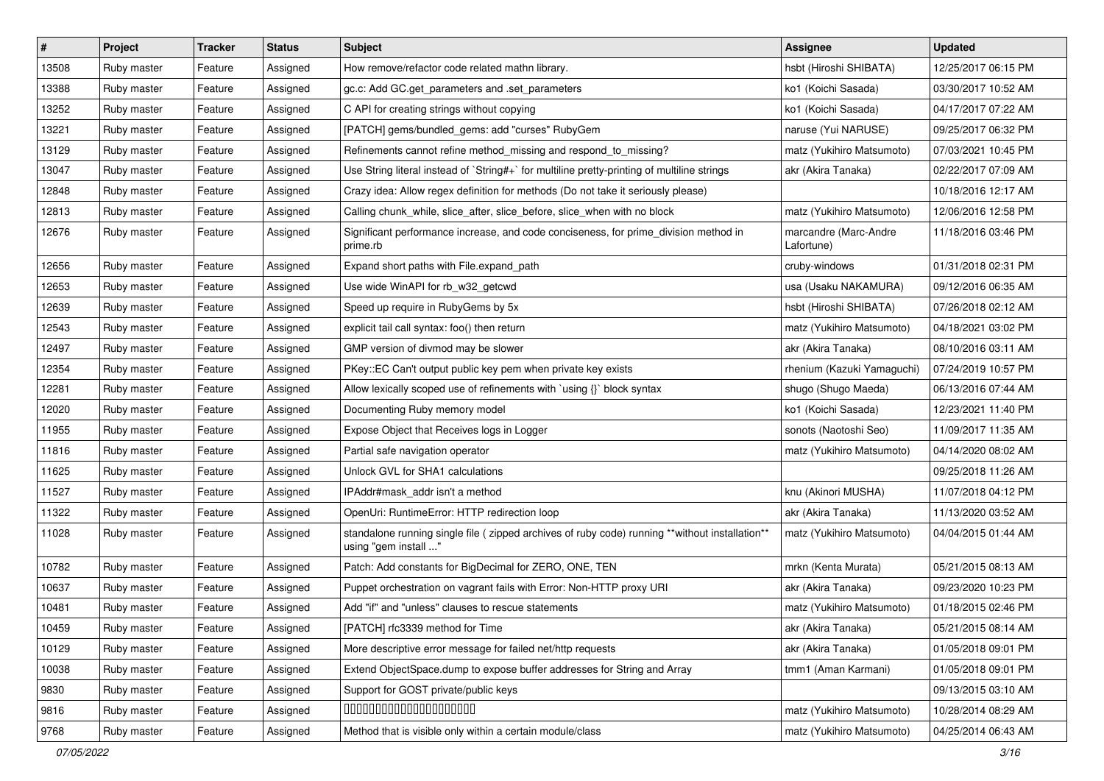| $\vert$ # | Project     | <b>Tracker</b> | <b>Status</b> | Subject                                                                                                                | Assignee                            | <b>Updated</b>      |
|-----------|-------------|----------------|---------------|------------------------------------------------------------------------------------------------------------------------|-------------------------------------|---------------------|
| 13508     | Ruby master | Feature        | Assigned      | How remove/refactor code related mathn library.                                                                        | hsbt (Hiroshi SHIBATA)              | 12/25/2017 06:15 PM |
| 13388     | Ruby master | Feature        | Assigned      | gc.c: Add GC.get_parameters and .set_parameters                                                                        | ko1 (Koichi Sasada)                 | 03/30/2017 10:52 AM |
| 13252     | Ruby master | Feature        | Assigned      | C API for creating strings without copying                                                                             | ko1 (Koichi Sasada)                 | 04/17/2017 07:22 AM |
| 13221     | Ruby master | Feature        | Assigned      | [PATCH] gems/bundled_gems: add "curses" RubyGem                                                                        | naruse (Yui NARUSE)                 | 09/25/2017 06:32 PM |
| 13129     | Ruby master | Feature        | Assigned      | Refinements cannot refine method_missing and respond_to_missing?                                                       | matz (Yukihiro Matsumoto)           | 07/03/2021 10:45 PM |
| 13047     | Ruby master | Feature        | Assigned      | Use String literal instead of `String#+` for multiline pretty-printing of multiline strings                            | akr (Akira Tanaka)                  | 02/22/2017 07:09 AM |
| 12848     | Ruby master | Feature        | Assigned      | Crazy idea: Allow regex definition for methods (Do not take it seriously please)                                       |                                     | 10/18/2016 12:17 AM |
| 12813     | Ruby master | Feature        | Assigned      | Calling chunk_while, slice_after, slice_before, slice_when with no block                                               | matz (Yukihiro Matsumoto)           | 12/06/2016 12:58 PM |
| 12676     | Ruby master | Feature        | Assigned      | Significant performance increase, and code conciseness, for prime division method in<br>prime.rb                       | marcandre (Marc-Andre<br>Lafortune) | 11/18/2016 03:46 PM |
| 12656     | Ruby master | Feature        | Assigned      | Expand short paths with File.expand path                                                                               | cruby-windows                       | 01/31/2018 02:31 PM |
| 12653     | Ruby master | Feature        | Assigned      | Use wide WinAPI for rb_w32_getcwd                                                                                      | usa (Usaku NAKAMURA)                | 09/12/2016 06:35 AM |
| 12639     | Ruby master | Feature        | Assigned      | Speed up require in RubyGems by 5x                                                                                     | hsbt (Hiroshi SHIBATA)              | 07/26/2018 02:12 AM |
| 12543     | Ruby master | Feature        | Assigned      | explicit tail call syntax: foo() then return                                                                           | matz (Yukihiro Matsumoto)           | 04/18/2021 03:02 PM |
| 12497     | Ruby master | Feature        | Assigned      | GMP version of divmod may be slower                                                                                    | akr (Akira Tanaka)                  | 08/10/2016 03:11 AM |
| 12354     | Ruby master | Feature        | Assigned      | PKey::EC Can't output public key pem when private key exists                                                           | rhenium (Kazuki Yamaguchi)          | 07/24/2019 10:57 PM |
| 12281     | Ruby master | Feature        | Assigned      | Allow lexically scoped use of refinements with 'using {}' block syntax                                                 | shugo (Shugo Maeda)                 | 06/13/2016 07:44 AM |
| 12020     | Ruby master | Feature        | Assigned      | Documenting Ruby memory model                                                                                          | ko1 (Koichi Sasada)                 | 12/23/2021 11:40 PM |
| 11955     | Ruby master | Feature        | Assigned      | Expose Object that Receives logs in Logger                                                                             | sonots (Naotoshi Seo)               | 11/09/2017 11:35 AM |
| 11816     | Ruby master | Feature        | Assigned      | Partial safe navigation operator                                                                                       | matz (Yukihiro Matsumoto)           | 04/14/2020 08:02 AM |
| 11625     | Ruby master | Feature        | Assigned      | Unlock GVL for SHA1 calculations                                                                                       |                                     | 09/25/2018 11:26 AM |
| 11527     | Ruby master | Feature        | Assigned      | IPAddr#mask addr isn't a method                                                                                        | knu (Akinori MUSHA)                 | 11/07/2018 04:12 PM |
| 11322     | Ruby master | Feature        | Assigned      | OpenUri: RuntimeError: HTTP redirection loop                                                                           | akr (Akira Tanaka)                  | 11/13/2020 03:52 AM |
| 11028     | Ruby master | Feature        | Assigned      | standalone running single file (zipped archives of ruby code) running **without installation**<br>using "gem install " | matz (Yukihiro Matsumoto)           | 04/04/2015 01:44 AM |
| 10782     | Ruby master | Feature        | Assigned      | Patch: Add constants for BigDecimal for ZERO, ONE, TEN                                                                 | mrkn (Kenta Murata)                 | 05/21/2015 08:13 AM |
| 10637     | Ruby master | Feature        | Assigned      | Puppet orchestration on vagrant fails with Error: Non-HTTP proxy URI                                                   | akr (Akira Tanaka)                  | 09/23/2020 10:23 PM |
| 10481     | Ruby master | Feature        | Assigned      | Add "if" and "unless" clauses to rescue statements                                                                     | matz (Yukihiro Matsumoto)           | 01/18/2015 02:46 PM |
| 10459     | Ruby master | Feature        | Assigned      | [PATCH] rfc3339 method for Time                                                                                        | akr (Akira Tanaka)                  | 05/21/2015 08:14 AM |
| 10129     | Ruby master | Feature        | Assigned      | More descriptive error message for failed net/http requests                                                            | akr (Akira Tanaka)                  | 01/05/2018 09:01 PM |
| 10038     | Ruby master | Feature        | Assigned      | Extend ObjectSpace.dump to expose buffer addresses for String and Array                                                | tmm1 (Aman Karmani)                 | 01/05/2018 09:01 PM |
| 9830      | Ruby master | Feature        | Assigned      | Support for GOST private/public keys                                                                                   |                                     | 09/13/2015 03:10 AM |
| 9816      | Ruby master | Feature        | Assigned      | 00000000000000000000                                                                                                   | matz (Yukihiro Matsumoto)           | 10/28/2014 08:29 AM |
| 9768      | Ruby master | Feature        | Assigned      | Method that is visible only within a certain module/class                                                              | matz (Yukihiro Matsumoto)           | 04/25/2014 06:43 AM |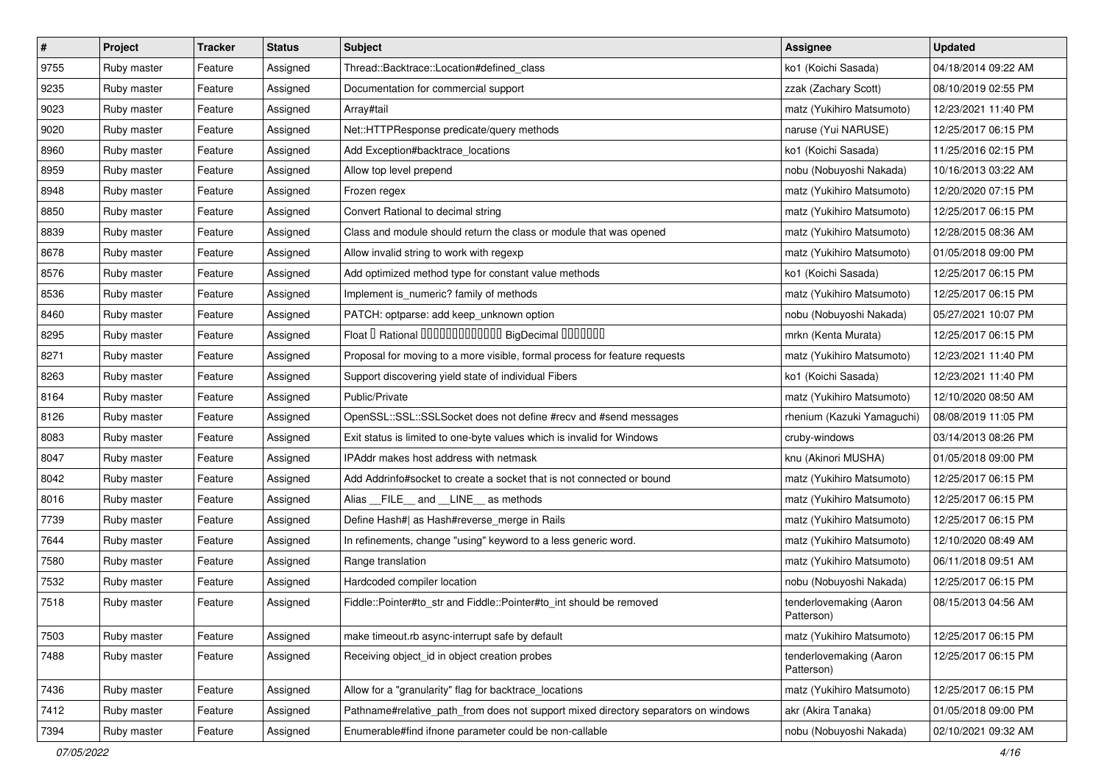| $\vert$ # | Project     | <b>Tracker</b> | <b>Status</b> | <b>Subject</b>                                                                     | <b>Assignee</b>                       | <b>Updated</b>      |
|-----------|-------------|----------------|---------------|------------------------------------------------------------------------------------|---------------------------------------|---------------------|
| 9755      | Ruby master | Feature        | Assigned      | Thread::Backtrace::Location#defined_class                                          | ko1 (Koichi Sasada)                   | 04/18/2014 09:22 AM |
| 9235      | Ruby master | Feature        | Assigned      | Documentation for commercial support                                               | zzak (Zachary Scott)                  | 08/10/2019 02:55 PM |
| 9023      | Ruby master | Feature        | Assigned      | Array#tail                                                                         | matz (Yukihiro Matsumoto)             | 12/23/2021 11:40 PM |
| 9020      | Ruby master | Feature        | Assigned      | Net::HTTPResponse predicate/query methods                                          | naruse (Yui NARUSE)                   | 12/25/2017 06:15 PM |
| 8960      | Ruby master | Feature        | Assigned      | Add Exception#backtrace_locations                                                  | ko1 (Koichi Sasada)                   | 11/25/2016 02:15 PM |
| 8959      | Ruby master | Feature        | Assigned      | Allow top level prepend                                                            | nobu (Nobuyoshi Nakada)               | 10/16/2013 03:22 AM |
| 8948      | Ruby master | Feature        | Assigned      | Frozen regex                                                                       | matz (Yukihiro Matsumoto)             | 12/20/2020 07:15 PM |
| 8850      | Ruby master | Feature        | Assigned      | Convert Rational to decimal string                                                 | matz (Yukihiro Matsumoto)             | 12/25/2017 06:15 PM |
| 8839      | Ruby master | Feature        | Assigned      | Class and module should return the class or module that was opened                 | matz (Yukihiro Matsumoto)             | 12/28/2015 08:36 AM |
| 8678      | Ruby master | Feature        | Assigned      | Allow invalid string to work with regexp                                           | matz (Yukihiro Matsumoto)             | 01/05/2018 09:00 PM |
| 8576      | Ruby master | Feature        | Assigned      | Add optimized method type for constant value methods                               | ko1 (Koichi Sasada)                   | 12/25/2017 06:15 PM |
| 8536      | Ruby master | Feature        | Assigned      | Implement is_numeric? family of methods                                            | matz (Yukihiro Matsumoto)             | 12/25/2017 06:15 PM |
| 8460      | Ruby master | Feature        | Assigned      | PATCH: optparse: add keep_unknown option                                           | nobu (Nobuyoshi Nakada)               | 05/27/2021 10:07 PM |
| 8295      | Ruby master | Feature        | Assigned      | Float I Rational 0000000000000 BigDecimal 0000000                                  | mrkn (Kenta Murata)                   | 12/25/2017 06:15 PM |
| 8271      | Ruby master | Feature        | Assigned      | Proposal for moving to a more visible, formal process for feature requests         | matz (Yukihiro Matsumoto)             | 12/23/2021 11:40 PM |
| 8263      | Ruby master | Feature        | Assigned      | Support discovering yield state of individual Fibers                               | ko1 (Koichi Sasada)                   | 12/23/2021 11:40 PM |
| 8164      | Ruby master | Feature        | Assigned      | Public/Private                                                                     | matz (Yukihiro Matsumoto)             | 12/10/2020 08:50 AM |
| 8126      | Ruby master | Feature        | Assigned      | OpenSSL::SSL::SSLSocket does not define #recv and #send messages                   | rhenium (Kazuki Yamaguchi)            | 08/08/2019 11:05 PM |
| 8083      | Ruby master | Feature        | Assigned      | Exit status is limited to one-byte values which is invalid for Windows             | cruby-windows                         | 03/14/2013 08:26 PM |
| 8047      | Ruby master | Feature        | Assigned      | IPAddr makes host address with netmask                                             | knu (Akinori MUSHA)                   | 01/05/2018 09:00 PM |
| 8042      | Ruby master | Feature        | Assigned      | Add Addrinfo#socket to create a socket that is not connected or bound              | matz (Yukihiro Matsumoto)             | 12/25/2017 06:15 PM |
| 8016      | Ruby master | Feature        | Assigned      | Alias FILE and LINE as methods                                                     | matz (Yukihiro Matsumoto)             | 12/25/2017 06:15 PM |
| 7739      | Ruby master | Feature        | Assigned      | Define Hash#  as Hash#reverse_merge in Rails                                       | matz (Yukihiro Matsumoto)             | 12/25/2017 06:15 PM |
| 7644      | Ruby master | Feature        | Assigned      | In refinements, change "using" keyword to a less generic word.                     | matz (Yukihiro Matsumoto)             | 12/10/2020 08:49 AM |
| 7580      | Ruby master | Feature        | Assigned      | Range translation                                                                  | matz (Yukihiro Matsumoto)             | 06/11/2018 09:51 AM |
| 7532      | Ruby master | Feature        | Assigned      | Hardcoded compiler location                                                        | nobu (Nobuyoshi Nakada)               | 12/25/2017 06:15 PM |
| 7518      | Ruby master | Feature        | Assigned      | Fiddle::Pointer#to_str and Fiddle::Pointer#to_int should be removed                | tenderlovemaking (Aaron<br>Patterson) | 08/15/2013 04:56 AM |
| 7503      | Ruby master | Feature        | Assigned      | make timeout.rb async-interrupt safe by default                                    | matz (Yukihiro Matsumoto)             | 12/25/2017 06:15 PM |
| 7488      | Ruby master | Feature        | Assigned      | Receiving object_id in object creation probes                                      | tenderlovemaking (Aaron<br>Patterson) | 12/25/2017 06:15 PM |
| 7436      | Ruby master | Feature        | Assigned      | Allow for a "granularity" flag for backtrace_locations                             | matz (Yukihiro Matsumoto)             | 12/25/2017 06:15 PM |
| 7412      | Ruby master | Feature        | Assigned      | Pathname#relative_path_from does not support mixed directory separators on windows | akr (Akira Tanaka)                    | 01/05/2018 09:00 PM |
| 7394      | Ruby master | Feature        | Assigned      | Enumerable#find ifnone parameter could be non-callable                             | nobu (Nobuyoshi Nakada)               | 02/10/2021 09:32 AM |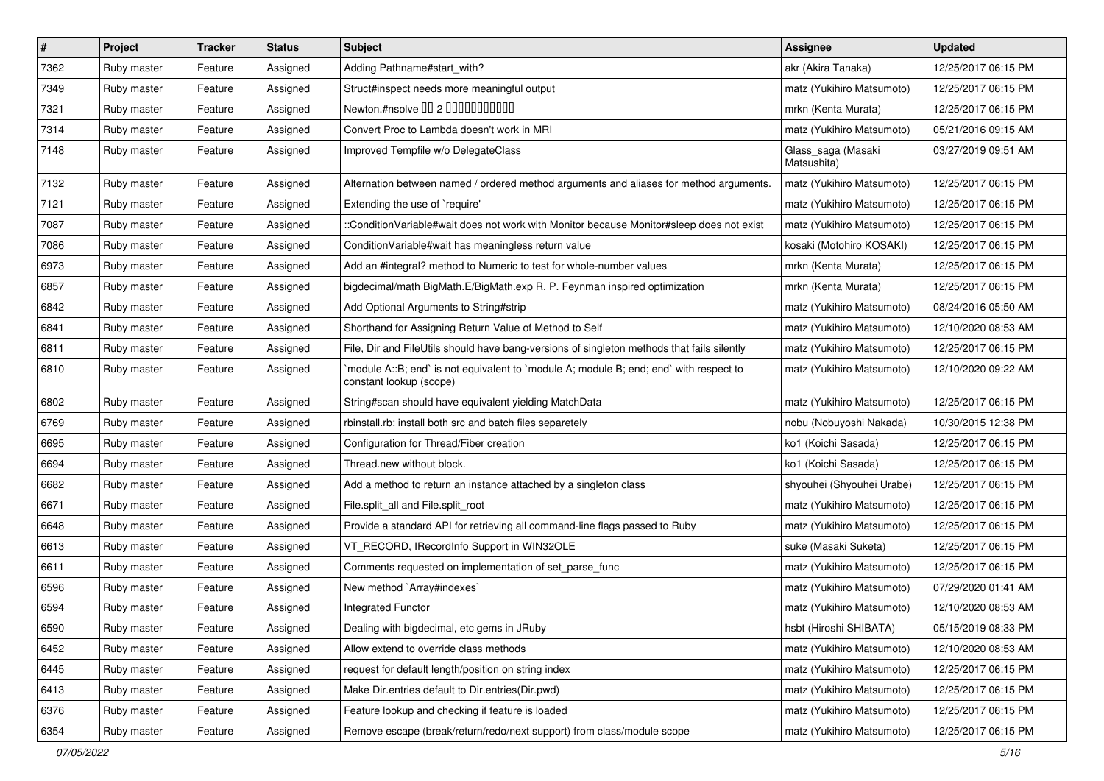| $\vert$ # | Project     | <b>Tracker</b> | <b>Status</b> | <b>Subject</b>                                                                                                    | Assignee                          | <b>Updated</b>      |
|-----------|-------------|----------------|---------------|-------------------------------------------------------------------------------------------------------------------|-----------------------------------|---------------------|
| 7362      | Ruby master | Feature        | Assigned      | Adding Pathname#start_with?                                                                                       | akr (Akira Tanaka)                | 12/25/2017 06:15 PM |
| 7349      | Ruby master | Feature        | Assigned      | Struct#inspect needs more meaningful output                                                                       | matz (Yukihiro Matsumoto)         | 12/25/2017 06:15 PM |
| 7321      | Ruby master | Feature        | Assigned      | Newton.#nsolve 00 2 00000000000                                                                                   | mrkn (Kenta Murata)               | 12/25/2017 06:15 PM |
| 7314      | Ruby master | Feature        | Assigned      | Convert Proc to Lambda doesn't work in MRI                                                                        | matz (Yukihiro Matsumoto)         | 05/21/2016 09:15 AM |
| 7148      | Ruby master | Feature        | Assigned      | Improved Tempfile w/o DelegateClass                                                                               | Glass_saga (Masaki<br>Matsushita) | 03/27/2019 09:51 AM |
| 7132      | Ruby master | Feature        | Assigned      | Alternation between named / ordered method arguments and aliases for method arguments.                            | matz (Yukihiro Matsumoto)         | 12/25/2017 06:15 PM |
| 7121      | Ruby master | Feature        | Assigned      | Extending the use of `require'                                                                                    | matz (Yukihiro Matsumoto)         | 12/25/2017 06:15 PM |
| 7087      | Ruby master | Feature        | Assigned      | ::ConditionVariable#wait does not work with Monitor because Monitor#sleep does not exist                          | matz (Yukihiro Matsumoto)         | 12/25/2017 06:15 PM |
| 7086      | Ruby master | Feature        | Assigned      | Condition Variable#wait has meaningless return value                                                              | kosaki (Motohiro KOSAKI)          | 12/25/2017 06:15 PM |
| 6973      | Ruby master | Feature        | Assigned      | Add an #integral? method to Numeric to test for whole-number values                                               | mrkn (Kenta Murata)               | 12/25/2017 06:15 PM |
| 6857      | Ruby master | Feature        | Assigned      | bigdecimal/math BigMath.E/BigMath.exp R. P. Feynman inspired optimization                                         | mrkn (Kenta Murata)               | 12/25/2017 06:15 PM |
| 6842      | Ruby master | Feature        | Assigned      | Add Optional Arguments to String#strip                                                                            | matz (Yukihiro Matsumoto)         | 08/24/2016 05:50 AM |
| 6841      | Ruby master | Feature        | Assigned      | Shorthand for Assigning Return Value of Method to Self                                                            | matz (Yukihiro Matsumoto)         | 12/10/2020 08:53 AM |
| 6811      | Ruby master | Feature        | Assigned      | File, Dir and FileUtils should have bang-versions of singleton methods that fails silently                        | matz (Yukihiro Matsumoto)         | 12/25/2017 06:15 PM |
| 6810      | Ruby master | Feature        | Assigned      | 'module A::B; end' is not equivalent to 'module A; module B; end; end' with respect to<br>constant lookup (scope) | matz (Yukihiro Matsumoto)         | 12/10/2020 09:22 AM |
| 6802      | Ruby master | Feature        | Assigned      | String#scan should have equivalent yielding MatchData                                                             | matz (Yukihiro Matsumoto)         | 12/25/2017 06:15 PM |
| 6769      | Ruby master | Feature        | Assigned      | rbinstall.rb: install both src and batch files separetely                                                         | nobu (Nobuyoshi Nakada)           | 10/30/2015 12:38 PM |
| 6695      | Ruby master | Feature        | Assigned      | Configuration for Thread/Fiber creation                                                                           | ko1 (Koichi Sasada)               | 12/25/2017 06:15 PM |
| 6694      | Ruby master | Feature        | Assigned      | Thread.new without block.                                                                                         | ko1 (Koichi Sasada)               | 12/25/2017 06:15 PM |
| 6682      | Ruby master | Feature        | Assigned      | Add a method to return an instance attached by a singleton class                                                  | shyouhei (Shyouhei Urabe)         | 12/25/2017 06:15 PM |
| 6671      | Ruby master | Feature        | Assigned      | File.split_all and File.split_root                                                                                | matz (Yukihiro Matsumoto)         | 12/25/2017 06:15 PM |
| 6648      | Ruby master | Feature        | Assigned      | Provide a standard API for retrieving all command-line flags passed to Ruby                                       | matz (Yukihiro Matsumoto)         | 12/25/2017 06:15 PM |
| 6613      | Ruby master | Feature        | Assigned      | VT_RECORD, IRecordInfo Support in WIN32OLE                                                                        | suke (Masaki Suketa)              | 12/25/2017 06:15 PM |
| 6611      | Ruby master | Feature        | Assigned      | Comments requested on implementation of set_parse_func                                                            | matz (Yukihiro Matsumoto)         | 12/25/2017 06:15 PM |
| 6596      | Ruby master | Feature        | Assigned      | New method `Array#indexes`                                                                                        | matz (Yukihiro Matsumoto)         | 07/29/2020 01:41 AM |
| 6594      | Ruby master | Feature        | Assigned      | <b>Integrated Functor</b>                                                                                         | matz (Yukihiro Matsumoto)         | 12/10/2020 08:53 AM |
| 6590      | Ruby master | Feature        | Assigned      | Dealing with bigdecimal, etc gems in JRuby                                                                        | hsbt (Hiroshi SHIBATA)            | 05/15/2019 08:33 PM |
| 6452      | Ruby master | Feature        | Assigned      | Allow extend to override class methods                                                                            | matz (Yukihiro Matsumoto)         | 12/10/2020 08:53 AM |
| 6445      | Ruby master | Feature        | Assigned      | request for default length/position on string index                                                               | matz (Yukihiro Matsumoto)         | 12/25/2017 06:15 PM |
| 6413      | Ruby master | Feature        | Assigned      | Make Dir.entries default to Dir.entries(Dir.pwd)                                                                  | matz (Yukihiro Matsumoto)         | 12/25/2017 06:15 PM |
| 6376      | Ruby master | Feature        | Assigned      | Feature lookup and checking if feature is loaded                                                                  | matz (Yukihiro Matsumoto)         | 12/25/2017 06:15 PM |
| 6354      | Ruby master | Feature        | Assigned      | Remove escape (break/return/redo/next support) from class/module scope                                            | matz (Yukihiro Matsumoto)         | 12/25/2017 06:15 PM |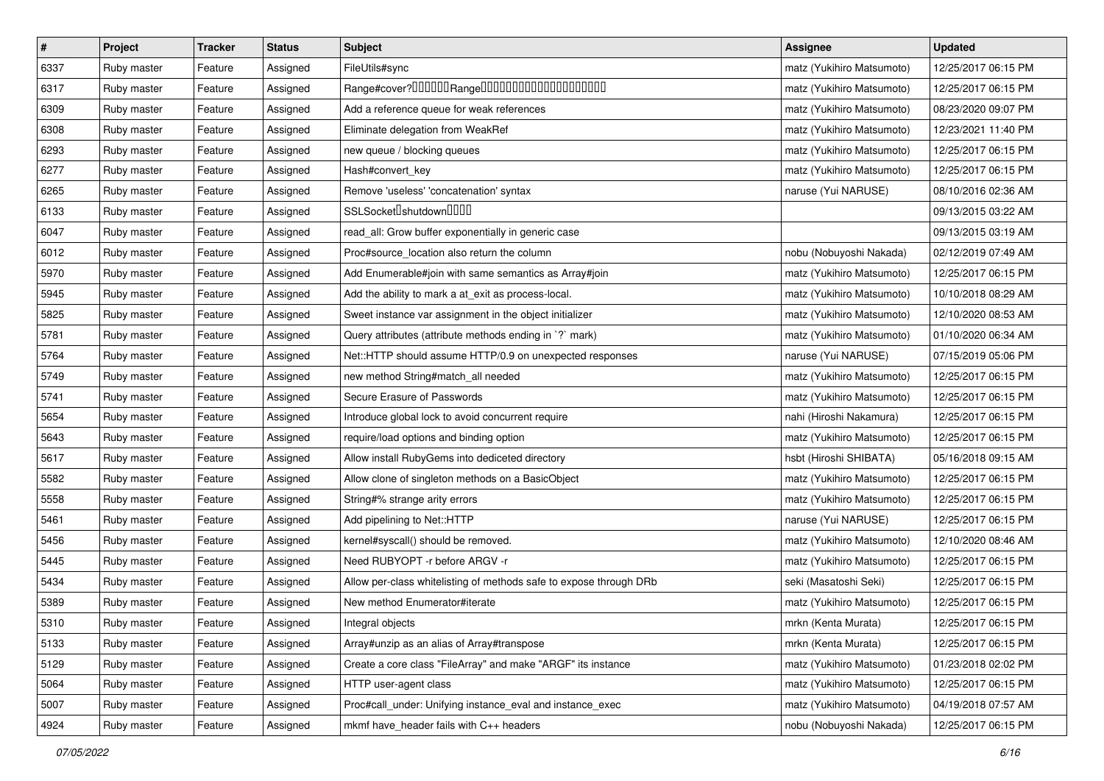| $\vert$ # | Project     | <b>Tracker</b> | <b>Status</b> | Subject                                                            | Assignee                  | <b>Updated</b>      |
|-----------|-------------|----------------|---------------|--------------------------------------------------------------------|---------------------------|---------------------|
| 6337      | Ruby master | Feature        | Assigned      | FileUtils#sync                                                     | matz (Yukihiro Matsumoto) | 12/25/2017 06:15 PM |
| 6317      | Ruby master | Feature        | Assigned      |                                                                    | matz (Yukihiro Matsumoto) | 12/25/2017 06:15 PM |
| 6309      | Ruby master | Feature        | Assigned      | Add a reference queue for weak references                          | matz (Yukihiro Matsumoto) | 08/23/2020 09:07 PM |
| 6308      | Ruby master | Feature        | Assigned      | Eliminate delegation from WeakRef                                  | matz (Yukihiro Matsumoto) | 12/23/2021 11:40 PM |
| 6293      | Ruby master | Feature        | Assigned      | new queue / blocking queues                                        | matz (Yukihiro Matsumoto) | 12/25/2017 06:15 PM |
| 6277      | Ruby master | Feature        | Assigned      | Hash#convert_key                                                   | matz (Yukihiro Matsumoto) | 12/25/2017 06:15 PM |
| 6265      | Ruby master | Feature        | Assigned      | Remove 'useless' 'concatenation' syntax                            | naruse (Yui NARUSE)       | 08/10/2016 02:36 AM |
| 6133      | Ruby master | Feature        | Assigned      | SSLSocket <sup>[]</sup> shutdown <sup>[][][]</sup>                 |                           | 09/13/2015 03:22 AM |
| 6047      | Ruby master | Feature        | Assigned      | read_all: Grow buffer exponentially in generic case                |                           | 09/13/2015 03:19 AM |
| 6012      | Ruby master | Feature        | Assigned      | Proc#source_location also return the column                        | nobu (Nobuyoshi Nakada)   | 02/12/2019 07:49 AM |
| 5970      | Ruby master | Feature        | Assigned      | Add Enumerable#join with same semantics as Array#join              | matz (Yukihiro Matsumoto) | 12/25/2017 06:15 PM |
| 5945      | Ruby master | Feature        | Assigned      | Add the ability to mark a at_exit as process-local.                | matz (Yukihiro Matsumoto) | 10/10/2018 08:29 AM |
| 5825      | Ruby master | Feature        | Assigned      | Sweet instance var assignment in the object initializer            | matz (Yukihiro Matsumoto) | 12/10/2020 08:53 AM |
| 5781      | Ruby master | Feature        | Assigned      | Query attributes (attribute methods ending in `?` mark)            | matz (Yukihiro Matsumoto) | 01/10/2020 06:34 AM |
| 5764      | Ruby master | Feature        | Assigned      | Net::HTTP should assume HTTP/0.9 on unexpected responses           | naruse (Yui NARUSE)       | 07/15/2019 05:06 PM |
| 5749      | Ruby master | Feature        | Assigned      | new method String#match_all needed                                 | matz (Yukihiro Matsumoto) | 12/25/2017 06:15 PM |
| 5741      | Ruby master | Feature        | Assigned      | Secure Erasure of Passwords                                        | matz (Yukihiro Matsumoto) | 12/25/2017 06:15 PM |
| 5654      | Ruby master | Feature        | Assigned      | Introduce global lock to avoid concurrent require                  | nahi (Hiroshi Nakamura)   | 12/25/2017 06:15 PM |
| 5643      | Ruby master | Feature        | Assigned      | require/load options and binding option                            | matz (Yukihiro Matsumoto) | 12/25/2017 06:15 PM |
| 5617      | Ruby master | Feature        | Assigned      | Allow install RubyGems into dediceted directory                    | hsbt (Hiroshi SHIBATA)    | 05/16/2018 09:15 AM |
| 5582      | Ruby master | Feature        | Assigned      | Allow clone of singleton methods on a BasicObject                  | matz (Yukihiro Matsumoto) | 12/25/2017 06:15 PM |
| 5558      | Ruby master | Feature        | Assigned      | String#% strange arity errors                                      | matz (Yukihiro Matsumoto) | 12/25/2017 06:15 PM |
| 5461      | Ruby master | Feature        | Assigned      | Add pipelining to Net::HTTP                                        | naruse (Yui NARUSE)       | 12/25/2017 06:15 PM |
| 5456      | Ruby master | Feature        | Assigned      | kernel#syscall() should be removed.                                | matz (Yukihiro Matsumoto) | 12/10/2020 08:46 AM |
| 5445      | Ruby master | Feature        | Assigned      | Need RUBYOPT -r before ARGV -r                                     | matz (Yukihiro Matsumoto) | 12/25/2017 06:15 PM |
| 5434      | Ruby master | Feature        | Assigned      | Allow per-class whitelisting of methods safe to expose through DRb | seki (Masatoshi Seki)     | 12/25/2017 06:15 PM |
| 5389      | Ruby master | Feature        | Assigned      | New method Enumerator#iterate                                      | matz (Yukihiro Matsumoto) | 12/25/2017 06:15 PM |
| 5310      | Ruby master | Feature        | Assigned      | Integral objects                                                   | mrkn (Kenta Murata)       | 12/25/2017 06:15 PM |
| 5133      | Ruby master | Feature        | Assigned      | Array#unzip as an alias of Array#transpose                         | mrkn (Kenta Murata)       | 12/25/2017 06:15 PM |
| 5129      | Ruby master | Feature        | Assigned      | Create a core class "FileArray" and make "ARGF" its instance       | matz (Yukihiro Matsumoto) | 01/23/2018 02:02 PM |
| 5064      | Ruby master | Feature        | Assigned      | HTTP user-agent class                                              | matz (Yukihiro Matsumoto) | 12/25/2017 06:15 PM |
| 5007      | Ruby master | Feature        | Assigned      | Proc#call_under: Unifying instance_eval and instance_exec          | matz (Yukihiro Matsumoto) | 04/19/2018 07:57 AM |
| 4924      | Ruby master | Feature        | Assigned      | mkmf have_header fails with C++ headers                            | nobu (Nobuyoshi Nakada)   | 12/25/2017 06:15 PM |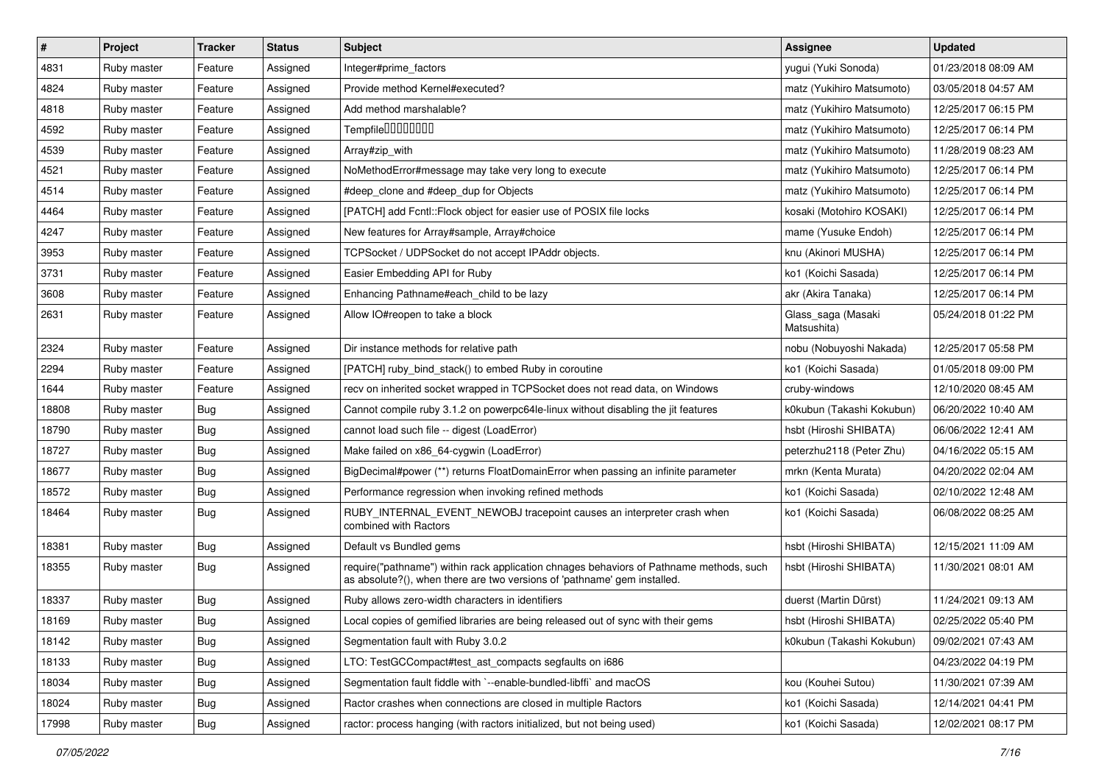| #     | Project     | <b>Tracker</b> | <b>Status</b> | <b>Subject</b>                                                                                                                                                      | Assignee                          | <b>Updated</b>      |
|-------|-------------|----------------|---------------|---------------------------------------------------------------------------------------------------------------------------------------------------------------------|-----------------------------------|---------------------|
| 4831  | Ruby master | Feature        | Assigned      | Integer#prime_factors                                                                                                                                               | yugui (Yuki Sonoda)               | 01/23/2018 08:09 AM |
| 4824  | Ruby master | Feature        | Assigned      | Provide method Kernel#executed?                                                                                                                                     | matz (Yukihiro Matsumoto)         | 03/05/2018 04:57 AM |
| 4818  | Ruby master | Feature        | Assigned      | Add method marshalable?                                                                                                                                             | matz (Yukihiro Matsumoto)         | 12/25/2017 06:15 PM |
| 4592  | Ruby master | Feature        | Assigned      | Tempfile0000000                                                                                                                                                     | matz (Yukihiro Matsumoto)         | 12/25/2017 06:14 PM |
| 4539  | Ruby master | Feature        | Assigned      | Array#zip_with                                                                                                                                                      | matz (Yukihiro Matsumoto)         | 11/28/2019 08:23 AM |
| 4521  | Ruby master | Feature        | Assigned      | NoMethodError#message may take very long to execute                                                                                                                 | matz (Yukihiro Matsumoto)         | 12/25/2017 06:14 PM |
| 4514  | Ruby master | Feature        | Assigned      | #deep_clone and #deep_dup for Objects                                                                                                                               | matz (Yukihiro Matsumoto)         | 12/25/2017 06:14 PM |
| 4464  | Ruby master | Feature        | Assigned      | [PATCH] add Fcntl::Flock object for easier use of POSIX file locks                                                                                                  | kosaki (Motohiro KOSAKI)          | 12/25/2017 06:14 PM |
| 4247  | Ruby master | Feature        | Assigned      | New features for Array#sample, Array#choice                                                                                                                         | mame (Yusuke Endoh)               | 12/25/2017 06:14 PM |
| 3953  | Ruby master | Feature        | Assigned      | TCPSocket / UDPSocket do not accept IPAddr objects.                                                                                                                 | knu (Akinori MUSHA)               | 12/25/2017 06:14 PM |
| 3731  | Ruby master | Feature        | Assigned      | Easier Embedding API for Ruby                                                                                                                                       | ko1 (Koichi Sasada)               | 12/25/2017 06:14 PM |
| 3608  | Ruby master | Feature        | Assigned      | Enhancing Pathname#each_child to be lazy                                                                                                                            | akr (Akira Tanaka)                | 12/25/2017 06:14 PM |
| 2631  | Ruby master | Feature        | Assigned      | Allow IO#reopen to take a block                                                                                                                                     | Glass_saga (Masaki<br>Matsushita) | 05/24/2018 01:22 PM |
| 2324  | Ruby master | Feature        | Assigned      | Dir instance methods for relative path                                                                                                                              | nobu (Nobuyoshi Nakada)           | 12/25/2017 05:58 PM |
| 2294  | Ruby master | Feature        | Assigned      | [PATCH] ruby bind stack() to embed Ruby in coroutine                                                                                                                | ko1 (Koichi Sasada)               | 01/05/2018 09:00 PM |
| 1644  | Ruby master | Feature        | Assigned      | recv on inherited socket wrapped in TCPSocket does not read data, on Windows                                                                                        | cruby-windows                     | 12/10/2020 08:45 AM |
| 18808 | Ruby master | Bug            | Assigned      | Cannot compile ruby 3.1.2 on powerpc64le-linux without disabling the jit features                                                                                   | k0kubun (Takashi Kokubun)         | 06/20/2022 10:40 AM |
| 18790 | Ruby master | <b>Bug</b>     | Assigned      | cannot load such file -- digest (LoadError)                                                                                                                         | hsbt (Hiroshi SHIBATA)            | 06/06/2022 12:41 AM |
| 18727 | Ruby master | <b>Bug</b>     | Assigned      | Make failed on x86_64-cygwin (LoadError)                                                                                                                            | peterzhu2118 (Peter Zhu)          | 04/16/2022 05:15 AM |
| 18677 | Ruby master | <b>Bug</b>     | Assigned      | BigDecimal#power (**) returns FloatDomainError when passing an infinite parameter                                                                                   | mrkn (Kenta Murata)               | 04/20/2022 02:04 AM |
| 18572 | Ruby master | <b>Bug</b>     | Assigned      | Performance regression when invoking refined methods                                                                                                                | ko1 (Koichi Sasada)               | 02/10/2022 12:48 AM |
| 18464 | Ruby master | Bug            | Assigned      | RUBY_INTERNAL_EVENT_NEWOBJ tracepoint causes an interpreter crash when<br>combined with Ractors                                                                     | ko1 (Koichi Sasada)               | 06/08/2022 08:25 AM |
| 18381 | Ruby master | <b>Bug</b>     | Assigned      | Default vs Bundled gems                                                                                                                                             | hsbt (Hiroshi SHIBATA)            | 12/15/2021 11:09 AM |
| 18355 | Ruby master | Bug            | Assigned      | require("pathname") within rack application chnages behaviors of Pathname methods, such<br>as absolute?(), when there are two versions of 'pathname' gem installed. | hsbt (Hiroshi SHIBATA)            | 11/30/2021 08:01 AM |
| 18337 | Ruby master | Bug            | Assigned      | Ruby allows zero-width characters in identifiers                                                                                                                    | duerst (Martin Dürst)             | 11/24/2021 09:13 AM |
| 18169 | Ruby master | Bug            | Assigned      | Local copies of gemified libraries are being released out of sync with their gems                                                                                   | hsbt (Hiroshi SHIBATA)            | 02/25/2022 05:40 PM |
| 18142 | Ruby master | <b>Bug</b>     | Assigned      | Segmentation fault with Ruby 3.0.2                                                                                                                                  | k0kubun (Takashi Kokubun)         | 09/02/2021 07:43 AM |
| 18133 | Ruby master | <b>Bug</b>     | Assigned      | LTO: TestGCCompact#test_ast_compacts segfaults on i686                                                                                                              |                                   | 04/23/2022 04:19 PM |
| 18034 | Ruby master | Bug            | Assigned      | Segmentation fault fiddle with `--enable-bundled-libffi` and macOS                                                                                                  | kou (Kouhei Sutou)                | 11/30/2021 07:39 AM |
| 18024 | Ruby master | <b>Bug</b>     | Assigned      | Ractor crashes when connections are closed in multiple Ractors                                                                                                      | ko1 (Koichi Sasada)               | 12/14/2021 04:41 PM |
| 17998 | Ruby master | Bug            | Assigned      | ractor: process hanging (with ractors initialized, but not being used)                                                                                              | ko1 (Koichi Sasada)               | 12/02/2021 08:17 PM |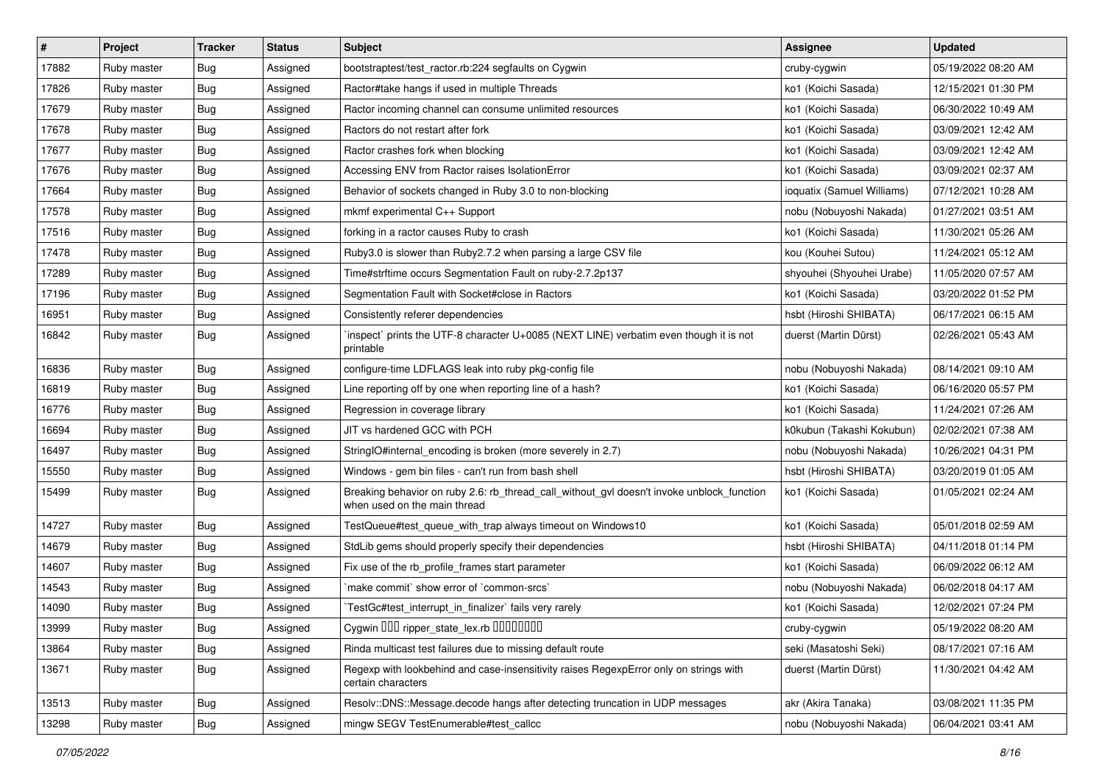| $\vert$ # | Project     | <b>Tracker</b> | <b>Status</b> | Subject                                                                                                                   | Assignee                   | <b>Updated</b>      |
|-----------|-------------|----------------|---------------|---------------------------------------------------------------------------------------------------------------------------|----------------------------|---------------------|
| 17882     | Ruby master | Bug            | Assigned      | bootstraptest/test_ractor.rb:224 segfaults on Cygwin                                                                      | cruby-cygwin               | 05/19/2022 08:20 AM |
| 17826     | Ruby master | <b>Bug</b>     | Assigned      | Ractor#take hangs if used in multiple Threads                                                                             | ko1 (Koichi Sasada)        | 12/15/2021 01:30 PM |
| 17679     | Ruby master | <b>Bug</b>     | Assigned      | Ractor incoming channel can consume unlimited resources                                                                   | ko1 (Koichi Sasada)        | 06/30/2022 10:49 AM |
| 17678     | Ruby master | Bug            | Assigned      | Ractors do not restart after fork                                                                                         | ko1 (Koichi Sasada)        | 03/09/2021 12:42 AM |
| 17677     | Ruby master | <b>Bug</b>     | Assigned      | Ractor crashes fork when blocking                                                                                         | ko1 (Koichi Sasada)        | 03/09/2021 12:42 AM |
| 17676     | Ruby master | Bug            | Assigned      | Accessing ENV from Ractor raises IsolationError                                                                           | ko1 (Koichi Sasada)        | 03/09/2021 02:37 AM |
| 17664     | Ruby master | <b>Bug</b>     | Assigned      | Behavior of sockets changed in Ruby 3.0 to non-blocking                                                                   | ioquatix (Samuel Williams) | 07/12/2021 10:28 AM |
| 17578     | Ruby master | <b>Bug</b>     | Assigned      | mkmf experimental C++ Support                                                                                             | nobu (Nobuyoshi Nakada)    | 01/27/2021 03:51 AM |
| 17516     | Ruby master | Bug            | Assigned      | forking in a ractor causes Ruby to crash                                                                                  | ko1 (Koichi Sasada)        | 11/30/2021 05:26 AM |
| 17478     | Ruby master | Bug            | Assigned      | Ruby3.0 is slower than Ruby2.7.2 when parsing a large CSV file                                                            | kou (Kouhei Sutou)         | 11/24/2021 05:12 AM |
| 17289     | Ruby master | Bug            | Assigned      | Time#strftime occurs Segmentation Fault on ruby-2.7.2p137                                                                 | shyouhei (Shyouhei Urabe)  | 11/05/2020 07:57 AM |
| 17196     | Ruby master | Bug            | Assigned      | Segmentation Fault with Socket#close in Ractors                                                                           | ko1 (Koichi Sasada)        | 03/20/2022 01:52 PM |
| 16951     | Ruby master | Bug            | Assigned      | Consistently referer dependencies                                                                                         | hsbt (Hiroshi SHIBATA)     | 06/17/2021 06:15 AM |
| 16842     | Ruby master | Bug            | Assigned      | 'inspect' prints the UTF-8 character U+0085 (NEXT LINE) verbatim even though it is not<br>printable                       | duerst (Martin Dürst)      | 02/26/2021 05:43 AM |
| 16836     | Ruby master | Bug            | Assigned      | configure-time LDFLAGS leak into ruby pkg-config file                                                                     | nobu (Nobuyoshi Nakada)    | 08/14/2021 09:10 AM |
| 16819     | Ruby master | Bug            | Assigned      | Line reporting off by one when reporting line of a hash?                                                                  | ko1 (Koichi Sasada)        | 06/16/2020 05:57 PM |
| 16776     | Ruby master | <b>Bug</b>     | Assigned      | Regression in coverage library                                                                                            | ko1 (Koichi Sasada)        | 11/24/2021 07:26 AM |
| 16694     | Ruby master | Bug            | Assigned      | JIT vs hardened GCC with PCH                                                                                              | k0kubun (Takashi Kokubun)  | 02/02/2021 07:38 AM |
| 16497     | Ruby master | Bug            | Assigned      | StringIO#internal_encoding is broken (more severely in 2.7)                                                               | nobu (Nobuyoshi Nakada)    | 10/26/2021 04:31 PM |
| 15550     | Ruby master | Bug            | Assigned      | Windows - gem bin files - can't run from bash shell                                                                       | hsbt (Hiroshi SHIBATA)     | 03/20/2019 01:05 AM |
| 15499     | Ruby master | Bug            | Assigned      | Breaking behavior on ruby 2.6: rb_thread_call_without_gvl doesn't invoke unblock_function<br>when used on the main thread | ko1 (Koichi Sasada)        | 01/05/2021 02:24 AM |
| 14727     | Ruby master | Bug            | Assigned      | TestQueue#test_queue_with_trap always timeout on Windows10                                                                | ko1 (Koichi Sasada)        | 05/01/2018 02:59 AM |
| 14679     | Ruby master | Bug            | Assigned      | StdLib gems should properly specify their dependencies                                                                    | hsbt (Hiroshi SHIBATA)     | 04/11/2018 01:14 PM |
| 14607     | Ruby master | <b>Bug</b>     | Assigned      | Fix use of the rb_profile_frames start parameter                                                                          | ko1 (Koichi Sasada)        | 06/09/2022 06:12 AM |
| 14543     | Ruby master | Bug            | Assigned      | `make commit` show error of `common-srcs`                                                                                 | nobu (Nobuyoshi Nakada)    | 06/02/2018 04:17 AM |
| 14090     | Ruby master | Bug            | Assigned      | TestGc#test_interrupt_in_finalizer` fails very rarely                                                                     | ko1 (Koichi Sasada)        | 12/02/2021 07:24 PM |
| 13999     | Ruby master | Bug            | Assigned      | Cygwin 000 ripper_state_lex.rb 00000000                                                                                   | cruby-cygwin               | 05/19/2022 08:20 AM |
| 13864     | Ruby master | <b>Bug</b>     | Assigned      | Rinda multicast test failures due to missing default route                                                                | seki (Masatoshi Seki)      | 08/17/2021 07:16 AM |
| 13671     | Ruby master | <b>Bug</b>     | Assigned      | Regexp with lookbehind and case-insensitivity raises RegexpError only on strings with<br>certain characters               | duerst (Martin Dürst)      | 11/30/2021 04:42 AM |
| 13513     | Ruby master | Bug            | Assigned      | Resolv::DNS::Message.decode hangs after detecting truncation in UDP messages                                              | akr (Akira Tanaka)         | 03/08/2021 11:35 PM |
| 13298     | Ruby master | Bug            | Assigned      | mingw SEGV TestEnumerable#test_callcc                                                                                     | nobu (Nobuyoshi Nakada)    | 06/04/2021 03:41 AM |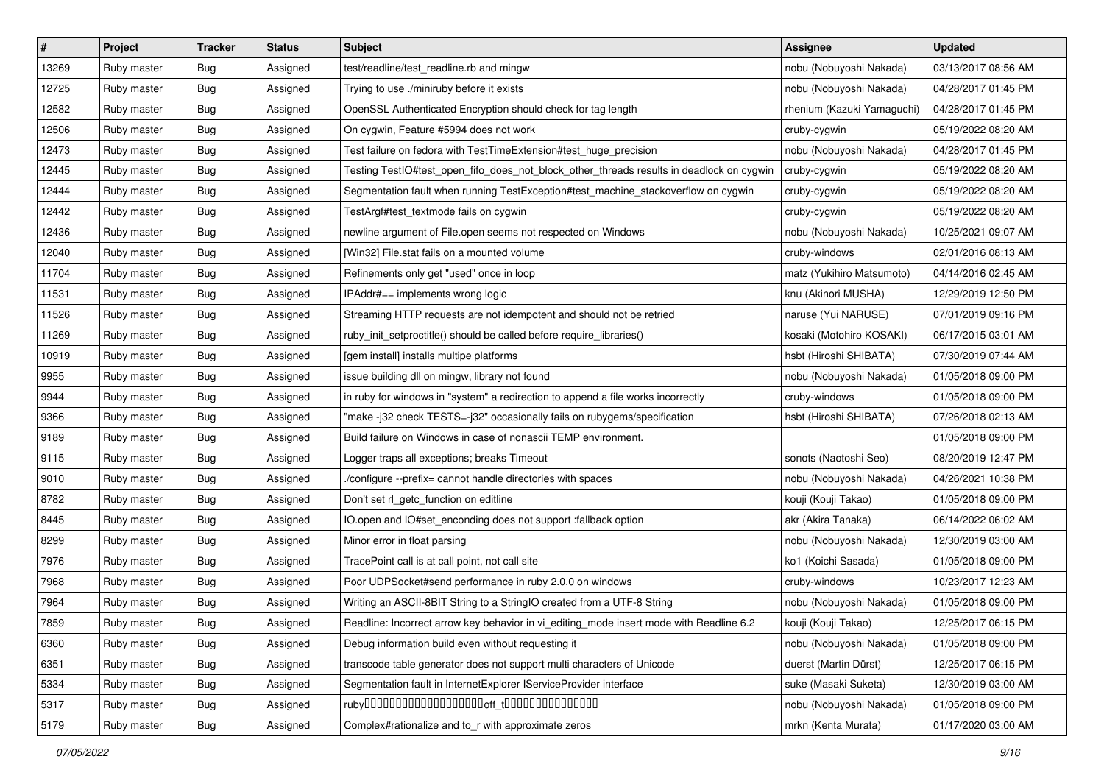| $\vert$ # | Project     | <b>Tracker</b> | <b>Status</b> | <b>Subject</b>                                                                           | <b>Assignee</b>            | <b>Updated</b>      |
|-----------|-------------|----------------|---------------|------------------------------------------------------------------------------------------|----------------------------|---------------------|
| 13269     | Ruby master | Bug            | Assigned      | test/readline/test_readline.rb and mingw                                                 | nobu (Nobuyoshi Nakada)    | 03/13/2017 08:56 AM |
| 12725     | Ruby master | Bug            | Assigned      | Trying to use ./miniruby before it exists                                                | nobu (Nobuyoshi Nakada)    | 04/28/2017 01:45 PM |
| 12582     | Ruby master | Bug            | Assigned      | OpenSSL Authenticated Encryption should check for tag length                             | rhenium (Kazuki Yamaguchi) | 04/28/2017 01:45 PM |
| 12506     | Ruby master | Bug            | Assigned      | On cygwin, Feature #5994 does not work                                                   | cruby-cygwin               | 05/19/2022 08:20 AM |
| 12473     | Ruby master | Bug            | Assigned      | Test failure on fedora with TestTimeExtension#test_huge_precision                        | nobu (Nobuyoshi Nakada)    | 04/28/2017 01:45 PM |
| 12445     | Ruby master | Bug            | Assigned      | Testing TestIO#test_open_fifo_does_not_block_other_threads results in deadlock on cygwin | cruby-cygwin               | 05/19/2022 08:20 AM |
| 12444     | Ruby master | Bug            | Assigned      | Segmentation fault when running TestException#test_machine_stackoverflow on cygwin       | cruby-cygwin               | 05/19/2022 08:20 AM |
| 12442     | Ruby master | Bug            | Assigned      | TestArgf#test_textmode fails on cygwin                                                   | cruby-cygwin               | 05/19/2022 08:20 AM |
| 12436     | Ruby master | Bug            | Assigned      | newline argument of File.open seems not respected on Windows                             | nobu (Nobuyoshi Nakada)    | 10/25/2021 09:07 AM |
| 12040     | Ruby master | Bug            | Assigned      | [Win32] File.stat fails on a mounted volume                                              | cruby-windows              | 02/01/2016 08:13 AM |
| 11704     | Ruby master | Bug            | Assigned      | Refinements only get "used" once in loop                                                 | matz (Yukihiro Matsumoto)  | 04/14/2016 02:45 AM |
| 11531     | Ruby master | Bug            | Assigned      | IPAddr#== implements wrong logic                                                         | knu (Akinori MUSHA)        | 12/29/2019 12:50 PM |
| 11526     | Ruby master | Bug            | Assigned      | Streaming HTTP requests are not idempotent and should not be retried                     | naruse (Yui NARUSE)        | 07/01/2019 09:16 PM |
| 11269     | Ruby master | Bug            | Assigned      | ruby_init_setproctitle() should be called before require_libraries()                     | kosaki (Motohiro KOSAKI)   | 06/17/2015 03:01 AM |
| 10919     | Ruby master | Bug            | Assigned      | [gem install] installs multipe platforms                                                 | hsbt (Hiroshi SHIBATA)     | 07/30/2019 07:44 AM |
| 9955      | Ruby master | Bug            | Assigned      | issue building dll on mingw, library not found                                           | nobu (Nobuyoshi Nakada)    | 01/05/2018 09:00 PM |
| 9944      | Ruby master | Bug            | Assigned      | in ruby for windows in "system" a redirection to append a file works incorrectly         | cruby-windows              | 01/05/2018 09:00 PM |
| 9366      | Ruby master | Bug            | Assigned      | "make -j32 check TESTS=-j32" occasionally fails on rubygems/specification                | hsbt (Hiroshi SHIBATA)     | 07/26/2018 02:13 AM |
| 9189      | Ruby master | Bug            | Assigned      | Build failure on Windows in case of nonascii TEMP environment.                           |                            | 01/05/2018 09:00 PM |
| 9115      | Ruby master | Bug            | Assigned      | Logger traps all exceptions; breaks Timeout                                              | sonots (Naotoshi Seo)      | 08/20/2019 12:47 PM |
| 9010      | Ruby master | Bug            | Assigned      | /configure --prefix= cannot handle directories with spaces                               | nobu (Nobuyoshi Nakada)    | 04/26/2021 10:38 PM |
| 8782      | Ruby master | Bug            | Assigned      | Don't set rl_getc_function on editline                                                   | kouji (Kouji Takao)        | 01/05/2018 09:00 PM |
| 8445      | Ruby master | Bug            | Assigned      | IO.open and IO#set_enconding does not support :fallback option                           | akr (Akira Tanaka)         | 06/14/2022 06:02 AM |
| 8299      | Ruby master | Bug            | Assigned      | Minor error in float parsing                                                             | nobu (Nobuyoshi Nakada)    | 12/30/2019 03:00 AM |
| 7976      | Ruby master | Bug            | Assigned      | TracePoint call is at call point, not call site                                          | ko1 (Koichi Sasada)        | 01/05/2018 09:00 PM |
| 7968      | Ruby master | Bug            | Assigned      | Poor UDPSocket#send performance in ruby 2.0.0 on windows                                 | cruby-windows              | 10/23/2017 12:23 AM |
| 7964      | Ruby master | Bug            | Assigned      | Writing an ASCII-8BIT String to a StringIO created from a UTF-8 String                   | nobu (Nobuyoshi Nakada)    | 01/05/2018 09:00 PM |
| 7859      | Ruby master | <b>Bug</b>     | Assigned      | Readline: Incorrect arrow key behavior in vi_editing_mode insert mode with Readline 6.2  | kouji (Kouji Takao)        | 12/25/2017 06:15 PM |
| 6360      | Ruby master | <b>Bug</b>     | Assigned      | Debug information build even without requesting it                                       | nobu (Nobuyoshi Nakada)    | 01/05/2018 09:00 PM |
| 6351      | Ruby master | Bug            | Assigned      | transcode table generator does not support multi characters of Unicode                   | duerst (Martin Dürst)      | 12/25/2017 06:15 PM |
| 5334      | Ruby master | <b>Bug</b>     | Assigned      | Segmentation fault in InternetExplorer IServiceProvider interface                        | suke (Masaki Suketa)       | 12/30/2019 03:00 AM |
| 5317      | Ruby master | Bug            | Assigned      |                                                                                          | nobu (Nobuyoshi Nakada)    | 01/05/2018 09:00 PM |
| 5179      | Ruby master | Bug            | Assigned      | Complex#rationalize and to_r with approximate zeros                                      | mrkn (Kenta Murata)        | 01/17/2020 03:00 AM |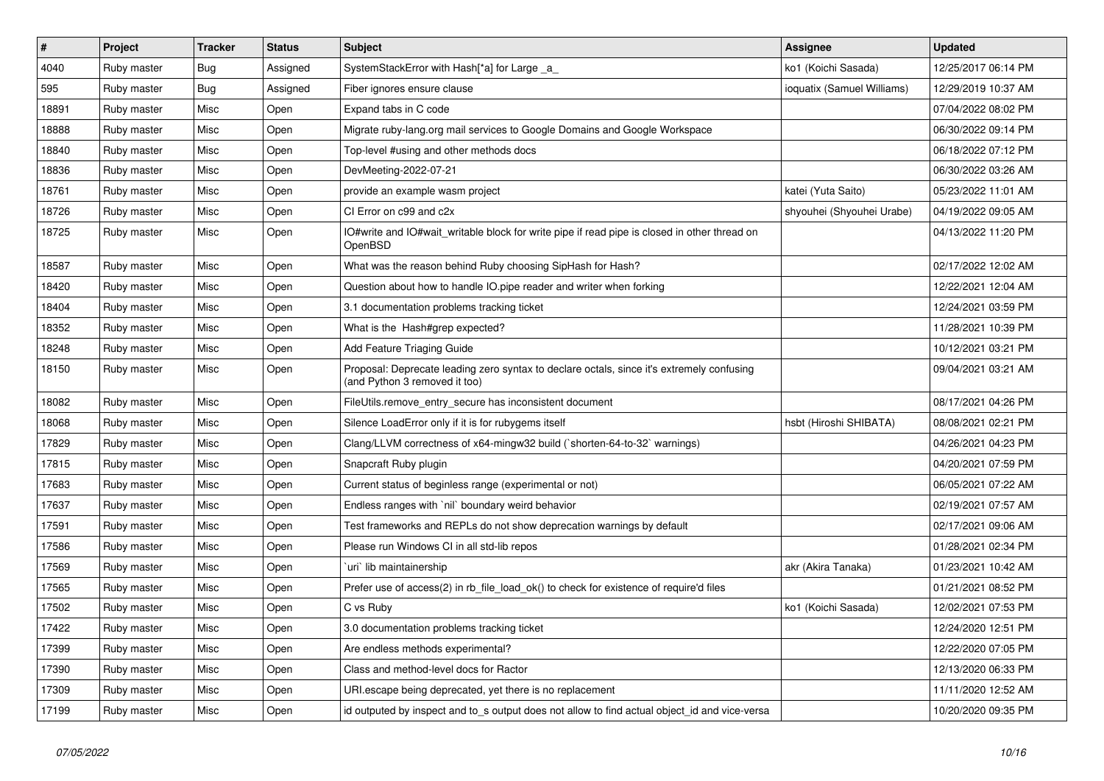| $\vert$ # | Project     | <b>Tracker</b> | <b>Status</b> | <b>Subject</b>                                                                                                             | <b>Assignee</b>            | <b>Updated</b>      |
|-----------|-------------|----------------|---------------|----------------------------------------------------------------------------------------------------------------------------|----------------------------|---------------------|
| 4040      | Ruby master | <b>Bug</b>     | Assigned      | SystemStackError with Hash[*a] for Large _a_                                                                               | ko1 (Koichi Sasada)        | 12/25/2017 06:14 PM |
| 595       | Ruby master | Bug            | Assigned      | Fiber ignores ensure clause                                                                                                | ioquatix (Samuel Williams) | 12/29/2019 10:37 AM |
| 18891     | Ruby master | Misc           | Open          | Expand tabs in C code                                                                                                      |                            | 07/04/2022 08:02 PM |
| 18888     | Ruby master | Misc           | Open          | Migrate ruby-lang.org mail services to Google Domains and Google Workspace                                                 |                            | 06/30/2022 09:14 PM |
| 18840     | Ruby master | Misc           | Open          | Top-level #using and other methods docs                                                                                    |                            | 06/18/2022 07:12 PM |
| 18836     | Ruby master | Misc           | Open          | DevMeeting-2022-07-21                                                                                                      |                            | 06/30/2022 03:26 AM |
| 18761     | Ruby master | Misc           | Open          | provide an example wasm project                                                                                            | katei (Yuta Saito)         | 05/23/2022 11:01 AM |
| 18726     | Ruby master | Misc           | Open          | CI Error on c99 and c2x                                                                                                    | shyouhei (Shyouhei Urabe)  | 04/19/2022 09:05 AM |
| 18725     | Ruby master | Misc           | Open          | IO#write and IO#wait_writable block for write pipe if read pipe is closed in other thread on<br>OpenBSD                    |                            | 04/13/2022 11:20 PM |
| 18587     | Ruby master | <b>Misc</b>    | Open          | What was the reason behind Ruby choosing SipHash for Hash?                                                                 |                            | 02/17/2022 12:02 AM |
| 18420     | Ruby master | Misc           | Open          | Question about how to handle IO.pipe reader and writer when forking                                                        |                            | 12/22/2021 12:04 AM |
| 18404     | Ruby master | Misc           | Open          | 3.1 documentation problems tracking ticket                                                                                 |                            | 12/24/2021 03:59 PM |
| 18352     | Ruby master | Misc           | Open          | What is the Hash#grep expected?                                                                                            |                            | 11/28/2021 10:39 PM |
| 18248     | Ruby master | Misc           | Open          | Add Feature Triaging Guide                                                                                                 |                            | 10/12/2021 03:21 PM |
| 18150     | Ruby master | Misc           | Open          | Proposal: Deprecate leading zero syntax to declare octals, since it's extremely confusing<br>(and Python 3 removed it too) |                            | 09/04/2021 03:21 AM |
| 18082     | Ruby master | Misc           | Open          | FileUtils.remove_entry_secure has inconsistent document                                                                    |                            | 08/17/2021 04:26 PM |
| 18068     | Ruby master | Misc           | Open          | Silence LoadError only if it is for rubygems itself                                                                        | hsbt (Hiroshi SHIBATA)     | 08/08/2021 02:21 PM |
| 17829     | Ruby master | Misc           | Open          | Clang/LLVM correctness of x64-mingw32 build (`shorten-64-to-32` warnings)                                                  |                            | 04/26/2021 04:23 PM |
| 17815     | Ruby master | Misc           | Open          | Snapcraft Ruby plugin                                                                                                      |                            | 04/20/2021 07:59 PM |
| 17683     | Ruby master | Misc           | Open          | Current status of beginless range (experimental or not)                                                                    |                            | 06/05/2021 07:22 AM |
| 17637     | Ruby master | Misc           | Open          | Endless ranges with `nil` boundary weird behavior                                                                          |                            | 02/19/2021 07:57 AM |
| 17591     | Ruby master | Misc           | Open          | Test frameworks and REPLs do not show deprecation warnings by default                                                      |                            | 02/17/2021 09:06 AM |
| 17586     | Ruby master | Misc           | Open          | Please run Windows CI in all std-lib repos                                                                                 |                            | 01/28/2021 02:34 PM |
| 17569     | Ruby master | Misc           | Open          | `uri` lib maintainership                                                                                                   | akr (Akira Tanaka)         | 01/23/2021 10:42 AM |
| 17565     | Ruby master | Misc           | Open          | Prefer use of access(2) in rb file load ok() to check for existence of require'd files                                     |                            | 01/21/2021 08:52 PM |
| 17502     | Ruby master | Misc           | Open          | C vs Ruby                                                                                                                  | ko1 (Koichi Sasada)        | 12/02/2021 07:53 PM |
| 17422     | Ruby master | Misc           | Open          | 3.0 documentation problems tracking ticket                                                                                 |                            | 12/24/2020 12:51 PM |
| 17399     | Ruby master | Misc           | Open          | Are endless methods experimental?                                                                                          |                            | 12/22/2020 07:05 PM |
| 17390     | Ruby master | Misc           | Open          | Class and method-level docs for Ractor                                                                                     |                            | 12/13/2020 06:33 PM |
| 17309     | Ruby master | Misc           | Open          | URI escape being deprecated, yet there is no replacement                                                                   |                            | 11/11/2020 12:52 AM |
| 17199     | Ruby master | Misc           | Open          | id outputed by inspect and to_s output does not allow to find actual object_id and vice-versa                              |                            | 10/20/2020 09:35 PM |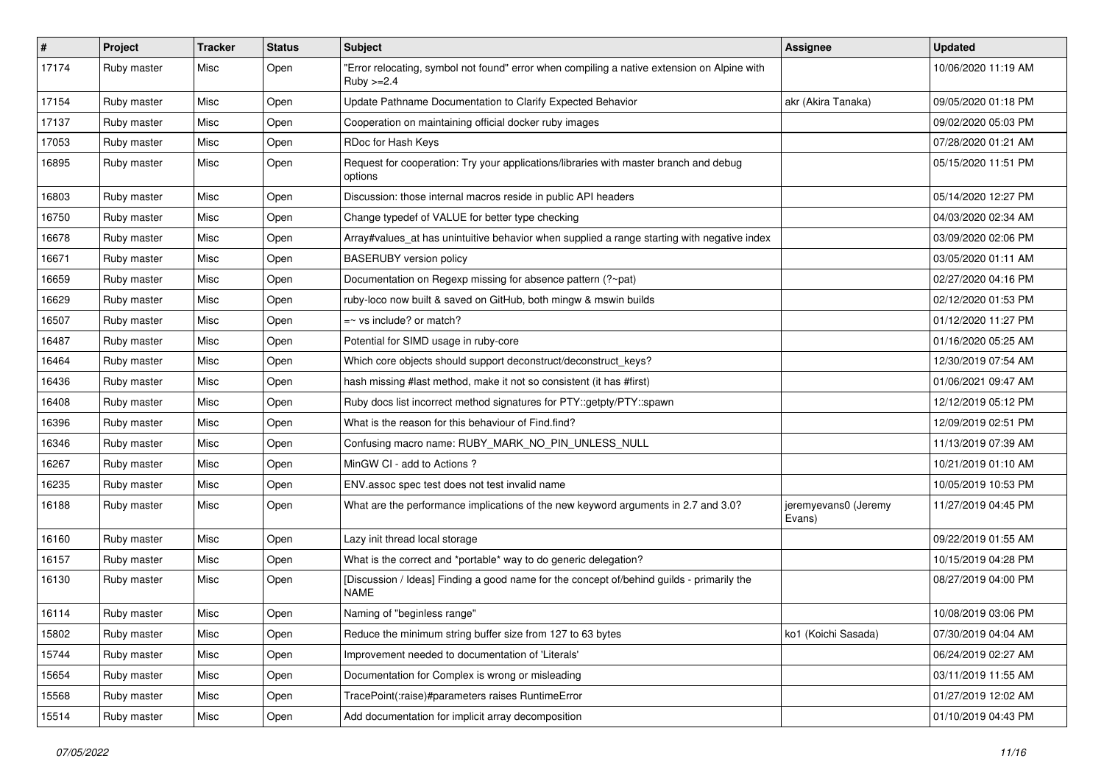| $\sharp$ | Project     | <b>Tracker</b> | <b>Status</b> | Subject                                                                                                     | Assignee                       | <b>Updated</b>      |
|----------|-------------|----------------|---------------|-------------------------------------------------------------------------------------------------------------|--------------------------------|---------------------|
| 17174    | Ruby master | Misc           | Open          | "Error relocating, symbol not found" error when compiling a native extension on Alpine with<br>Ruby $>=2.4$ |                                | 10/06/2020 11:19 AM |
| 17154    | Ruby master | Misc           | Open          | Update Pathname Documentation to Clarify Expected Behavior                                                  | akr (Akira Tanaka)             | 09/05/2020 01:18 PM |
| 17137    | Ruby master | Misc           | Open          | Cooperation on maintaining official docker ruby images                                                      |                                | 09/02/2020 05:03 PM |
| 17053    | Ruby master | Misc           | Open          | RDoc for Hash Keys                                                                                          |                                | 07/28/2020 01:21 AM |
| 16895    | Ruby master | Misc           | Open          | Request for cooperation: Try your applications/libraries with master branch and debug<br>options            |                                | 05/15/2020 11:51 PM |
| 16803    | Ruby master | Misc           | Open          | Discussion: those internal macros reside in public API headers                                              |                                | 05/14/2020 12:27 PM |
| 16750    | Ruby master | Misc           | Open          | Change typedef of VALUE for better type checking                                                            |                                | 04/03/2020 02:34 AM |
| 16678    | Ruby master | Misc           | Open          | Array#values_at has unintuitive behavior when supplied a range starting with negative index                 |                                | 03/09/2020 02:06 PM |
| 16671    | Ruby master | Misc           | Open          | <b>BASERUBY</b> version policy                                                                              |                                | 03/05/2020 01:11 AM |
| 16659    | Ruby master | Misc           | Open          | Documentation on Regexp missing for absence pattern (?~pat)                                                 |                                | 02/27/2020 04:16 PM |
| 16629    | Ruby master | Misc           | Open          | ruby-loco now built & saved on GitHub, both mingw & mswin builds                                            |                                | 02/12/2020 01:53 PM |
| 16507    | Ruby master | Misc           | Open          | $=$ vs include? or match?                                                                                   |                                | 01/12/2020 11:27 PM |
| 16487    | Ruby master | Misc           | Open          | Potential for SIMD usage in ruby-core                                                                       |                                | 01/16/2020 05:25 AM |
| 16464    | Ruby master | Misc           | Open          | Which core objects should support deconstruct/deconstruct keys?                                             |                                | 12/30/2019 07:54 AM |
| 16436    | Ruby master | Misc           | Open          | hash missing #last method, make it not so consistent (it has #first)                                        |                                | 01/06/2021 09:47 AM |
| 16408    | Ruby master | Misc           | Open          | Ruby docs list incorrect method signatures for PTY::getpty/PTY::spawn                                       |                                | 12/12/2019 05:12 PM |
| 16396    | Ruby master | Misc           | Open          | What is the reason for this behaviour of Find.find?                                                         |                                | 12/09/2019 02:51 PM |
| 16346    | Ruby master | Misc           | Open          | Confusing macro name: RUBY_MARK_NO_PIN_UNLESS_NULL                                                          |                                | 11/13/2019 07:39 AM |
| 16267    | Ruby master | Misc           | Open          | MinGW CI - add to Actions ?                                                                                 |                                | 10/21/2019 01:10 AM |
| 16235    | Ruby master | Misc           | Open          | ENV assoc spec test does not test invalid name                                                              |                                | 10/05/2019 10:53 PM |
| 16188    | Ruby master | Misc           | Open          | What are the performance implications of the new keyword arguments in 2.7 and 3.0?                          | jeremyevans0 (Jeremy<br>Evans) | 11/27/2019 04:45 PM |
| 16160    | Ruby master | Misc           | Open          | Lazy init thread local storage                                                                              |                                | 09/22/2019 01:55 AM |
| 16157    | Ruby master | Misc           | Open          | What is the correct and *portable* way to do generic delegation?                                            |                                | 10/15/2019 04:28 PM |
| 16130    | Ruby master | Misc           | Open          | [Discussion / Ideas] Finding a good name for the concept of/behind guilds - primarily the<br><b>NAME</b>    |                                | 08/27/2019 04:00 PM |
| 16114    | Ruby master | Misc           | Open          | Naming of "beginless range"                                                                                 |                                | 10/08/2019 03:06 PM |
| 15802    | Ruby master | Misc           | Open          | Reduce the minimum string buffer size from 127 to 63 bytes                                                  | ko1 (Koichi Sasada)            | 07/30/2019 04:04 AM |
| 15744    | Ruby master | Misc           | Open          | Improvement needed to documentation of 'Literals'                                                           |                                | 06/24/2019 02:27 AM |
| 15654    | Ruby master | Misc           | Open          | Documentation for Complex is wrong or misleading                                                            |                                | 03/11/2019 11:55 AM |
| 15568    | Ruby master | Misc           | Open          | TracePoint(:raise)#parameters raises RuntimeError                                                           |                                | 01/27/2019 12:02 AM |
| 15514    | Ruby master | Misc           | Open          | Add documentation for implicit array decomposition                                                          |                                | 01/10/2019 04:43 PM |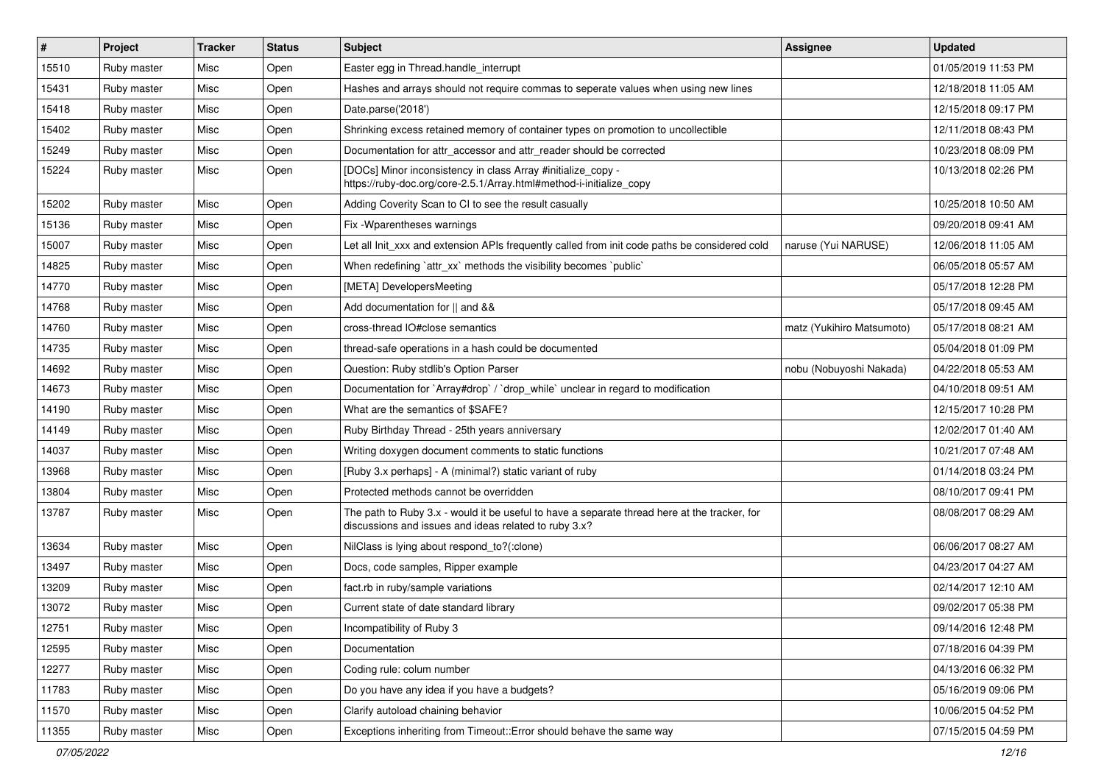| #     | Project     | <b>Tracker</b> | <b>Status</b> | Subject                                                                                                                                               | Assignee                  | <b>Updated</b>      |
|-------|-------------|----------------|---------------|-------------------------------------------------------------------------------------------------------------------------------------------------------|---------------------------|---------------------|
| 15510 | Ruby master | Misc           | Open          | Easter egg in Thread.handle_interrupt                                                                                                                 |                           | 01/05/2019 11:53 PM |
| 15431 | Ruby master | Misc           | Open          | Hashes and arrays should not require commas to seperate values when using new lines                                                                   |                           | 12/18/2018 11:05 AM |
| 15418 | Ruby master | Misc           | Open          | Date.parse('2018')                                                                                                                                    |                           | 12/15/2018 09:17 PM |
| 15402 | Ruby master | Misc           | Open          | Shrinking excess retained memory of container types on promotion to uncollectible                                                                     |                           | 12/11/2018 08:43 PM |
| 15249 | Ruby master | Misc           | Open          | Documentation for attr_accessor and attr_reader should be corrected                                                                                   |                           | 10/23/2018 08:09 PM |
| 15224 | Ruby master | Misc           | Open          | [DOCs] Minor inconsistency in class Array #initialize_copy -<br>https://ruby-doc.org/core-2.5.1/Array.html#method-i-initialize_copy                   |                           | 10/13/2018 02:26 PM |
| 15202 | Ruby master | Misc           | Open          | Adding Coverity Scan to CI to see the result casually                                                                                                 |                           | 10/25/2018 10:50 AM |
| 15136 | Ruby master | Misc           | Open          | Fix - Wparentheses warnings                                                                                                                           |                           | 09/20/2018 09:41 AM |
| 15007 | Ruby master | Misc           | Open          | Let all Init_xxx and extension APIs frequently called from init code paths be considered cold                                                         | naruse (Yui NARUSE)       | 12/06/2018 11:05 AM |
| 14825 | Ruby master | Misc           | Open          | When redefining `attr_xx` methods the visibility becomes `public`                                                                                     |                           | 06/05/2018 05:57 AM |
| 14770 | Ruby master | Misc           | Open          | [META] DevelopersMeeting                                                                                                                              |                           | 05/17/2018 12:28 PM |
| 14768 | Ruby master | Misc           | Open          | Add documentation for    and &&                                                                                                                       |                           | 05/17/2018 09:45 AM |
| 14760 | Ruby master | Misc           | Open          | cross-thread IO#close semantics                                                                                                                       | matz (Yukihiro Matsumoto) | 05/17/2018 08:21 AM |
| 14735 | Ruby master | Misc           | Open          | thread-safe operations in a hash could be documented                                                                                                  |                           | 05/04/2018 01:09 PM |
| 14692 | Ruby master | Misc           | Open          | Question: Ruby stdlib's Option Parser                                                                                                                 | nobu (Nobuyoshi Nakada)   | 04/22/2018 05:53 AM |
| 14673 | Ruby master | Misc           | Open          | Documentation for `Array#drop` / `drop_while` unclear in regard to modification                                                                       |                           | 04/10/2018 09:51 AM |
| 14190 | Ruby master | Misc           | Open          | What are the semantics of \$SAFE?                                                                                                                     |                           | 12/15/2017 10:28 PM |
| 14149 | Ruby master | Misc           | Open          | Ruby Birthday Thread - 25th years anniversary                                                                                                         |                           | 12/02/2017 01:40 AM |
| 14037 | Ruby master | Misc           | Open          | Writing doxygen document comments to static functions                                                                                                 |                           | 10/21/2017 07:48 AM |
| 13968 | Ruby master | Misc           | Open          | [Ruby 3.x perhaps] - A (minimal?) static variant of ruby                                                                                              |                           | 01/14/2018 03:24 PM |
| 13804 | Ruby master | Misc           | Open          | Protected methods cannot be overridden                                                                                                                |                           | 08/10/2017 09:41 PM |
| 13787 | Ruby master | Misc           | Open          | The path to Ruby 3.x - would it be useful to have a separate thread here at the tracker, for<br>discussions and issues and ideas related to ruby 3.x? |                           | 08/08/2017 08:29 AM |
| 13634 | Ruby master | Misc           | Open          | NilClass is lying about respond_to?(:clone)                                                                                                           |                           | 06/06/2017 08:27 AM |
| 13497 | Ruby master | Misc           | Open          | Docs, code samples, Ripper example                                                                                                                    |                           | 04/23/2017 04:27 AM |
| 13209 | Ruby master | Misc           | Open          | fact.rb in ruby/sample variations                                                                                                                     |                           | 02/14/2017 12:10 AM |
| 13072 | Ruby master | Misc           | Open          | Current state of date standard library                                                                                                                |                           | 09/02/2017 05:38 PM |
| 12751 | Ruby master | Misc           | Open          | Incompatibility of Ruby 3                                                                                                                             |                           | 09/14/2016 12:48 PM |
| 12595 | Ruby master | Misc           | Open          | Documentation                                                                                                                                         |                           | 07/18/2016 04:39 PM |
| 12277 | Ruby master | Misc           | Open          | Coding rule: colum number                                                                                                                             |                           | 04/13/2016 06:32 PM |
| 11783 | Ruby master | Misc           | Open          | Do you have any idea if you have a budgets?                                                                                                           |                           | 05/16/2019 09:06 PM |
| 11570 | Ruby master | Misc           | Open          | Clarify autoload chaining behavior                                                                                                                    |                           | 10/06/2015 04:52 PM |
| 11355 | Ruby master | Misc           | Open          | Exceptions inheriting from Timeout::Error should behave the same way                                                                                  |                           | 07/15/2015 04:59 PM |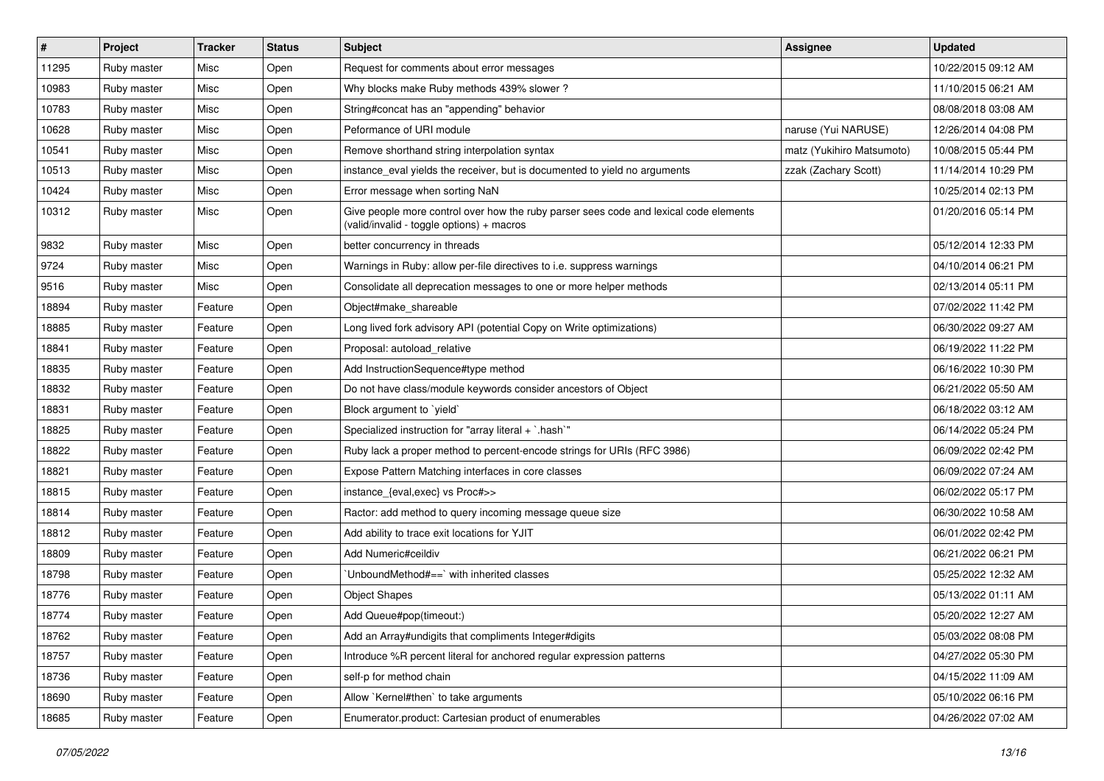| $\vert$ # | Project     | <b>Tracker</b> | <b>Status</b> | Subject                                                                                                                            | Assignee                  | <b>Updated</b>      |
|-----------|-------------|----------------|---------------|------------------------------------------------------------------------------------------------------------------------------------|---------------------------|---------------------|
| 11295     | Ruby master | Misc           | Open          | Request for comments about error messages                                                                                          |                           | 10/22/2015 09:12 AM |
| 10983     | Ruby master | Misc           | Open          | Why blocks make Ruby methods 439% slower?                                                                                          |                           | 11/10/2015 06:21 AM |
| 10783     | Ruby master | Misc           | Open          | String#concat has an "appending" behavior                                                                                          |                           | 08/08/2018 03:08 AM |
| 10628     | Ruby master | Misc           | Open          | Peformance of URI module                                                                                                           | naruse (Yui NARUSE)       | 12/26/2014 04:08 PM |
| 10541     | Ruby master | Misc           | Open          | Remove shorthand string interpolation syntax                                                                                       | matz (Yukihiro Matsumoto) | 10/08/2015 05:44 PM |
| 10513     | Ruby master | Misc           | Open          | instance_eval yields the receiver, but is documented to yield no arguments                                                         | zzak (Zachary Scott)      | 11/14/2014 10:29 PM |
| 10424     | Ruby master | Misc           | Open          | Error message when sorting NaN                                                                                                     |                           | 10/25/2014 02:13 PM |
| 10312     | Ruby master | Misc           | Open          | Give people more control over how the ruby parser sees code and lexical code elements<br>(valid/invalid - toggle options) + macros |                           | 01/20/2016 05:14 PM |
| 9832      | Ruby master | Misc           | Open          | better concurrency in threads                                                                                                      |                           | 05/12/2014 12:33 PM |
| 9724      | Ruby master | Misc           | Open          | Warnings in Ruby: allow per-file directives to i.e. suppress warnings                                                              |                           | 04/10/2014 06:21 PM |
| 9516      | Ruby master | Misc           | Open          | Consolidate all deprecation messages to one or more helper methods                                                                 |                           | 02/13/2014 05:11 PM |
| 18894     | Ruby master | Feature        | Open          | Object#make shareable                                                                                                              |                           | 07/02/2022 11:42 PM |
| 18885     | Ruby master | Feature        | Open          | Long lived fork advisory API (potential Copy on Write optimizations)                                                               |                           | 06/30/2022 09:27 AM |
| 18841     | Ruby master | Feature        | Open          | Proposal: autoload relative                                                                                                        |                           | 06/19/2022 11:22 PM |
| 18835     | Ruby master | Feature        | Open          | Add InstructionSequence#type method                                                                                                |                           | 06/16/2022 10:30 PM |
| 18832     | Ruby master | Feature        | Open          | Do not have class/module keywords consider ancestors of Object                                                                     |                           | 06/21/2022 05:50 AM |
| 18831     | Ruby master | Feature        | Open          | Block argument to `yield`                                                                                                          |                           | 06/18/2022 03:12 AM |
| 18825     | Ruby master | Feature        | Open          | Specialized instruction for "array literal + `.hash`"                                                                              |                           | 06/14/2022 05:24 PM |
| 18822     | Ruby master | Feature        | Open          | Ruby lack a proper method to percent-encode strings for URIs (RFC 3986)                                                            |                           | 06/09/2022 02:42 PM |
| 18821     | Ruby master | Feature        | Open          | Expose Pattern Matching interfaces in core classes                                                                                 |                           | 06/09/2022 07:24 AM |
| 18815     | Ruby master | Feature        | Open          | instance_{eval,exec} vs Proc#>>                                                                                                    |                           | 06/02/2022 05:17 PM |
| 18814     | Ruby master | Feature        | Open          | Ractor: add method to query incoming message queue size                                                                            |                           | 06/30/2022 10:58 AM |
| 18812     | Ruby master | Feature        | Open          | Add ability to trace exit locations for YJIT                                                                                       |                           | 06/01/2022 02:42 PM |
| 18809     | Ruby master | Feature        | Open          | Add Numeric#ceildiv                                                                                                                |                           | 06/21/2022 06:21 PM |
| 18798     | Ruby master | Feature        | Open          | 'UnboundMethod#==' with inherited classes                                                                                          |                           | 05/25/2022 12:32 AM |
| 18776     | Ruby master | Feature        | Open          | <b>Object Shapes</b>                                                                                                               |                           | 05/13/2022 01:11 AM |
| 18774     | Ruby master | Feature        | Open          | Add Queue#pop(timeout:)                                                                                                            |                           | 05/20/2022 12:27 AM |
| 18762     | Ruby master | Feature        | Open          | Add an Array#undigits that compliments Integer#digits                                                                              |                           | 05/03/2022 08:08 PM |
| 18757     | Ruby master | Feature        | Open          | Introduce %R percent literal for anchored regular expression patterns                                                              |                           | 04/27/2022 05:30 PM |
| 18736     | Ruby master | Feature        | Open          | self-p for method chain                                                                                                            |                           | 04/15/2022 11:09 AM |
| 18690     | Ruby master | Feature        | Open          | Allow `Kernel#then` to take arguments                                                                                              |                           | 05/10/2022 06:16 PM |
| 18685     | Ruby master | Feature        | Open          | Enumerator.product: Cartesian product of enumerables                                                                               |                           | 04/26/2022 07:02 AM |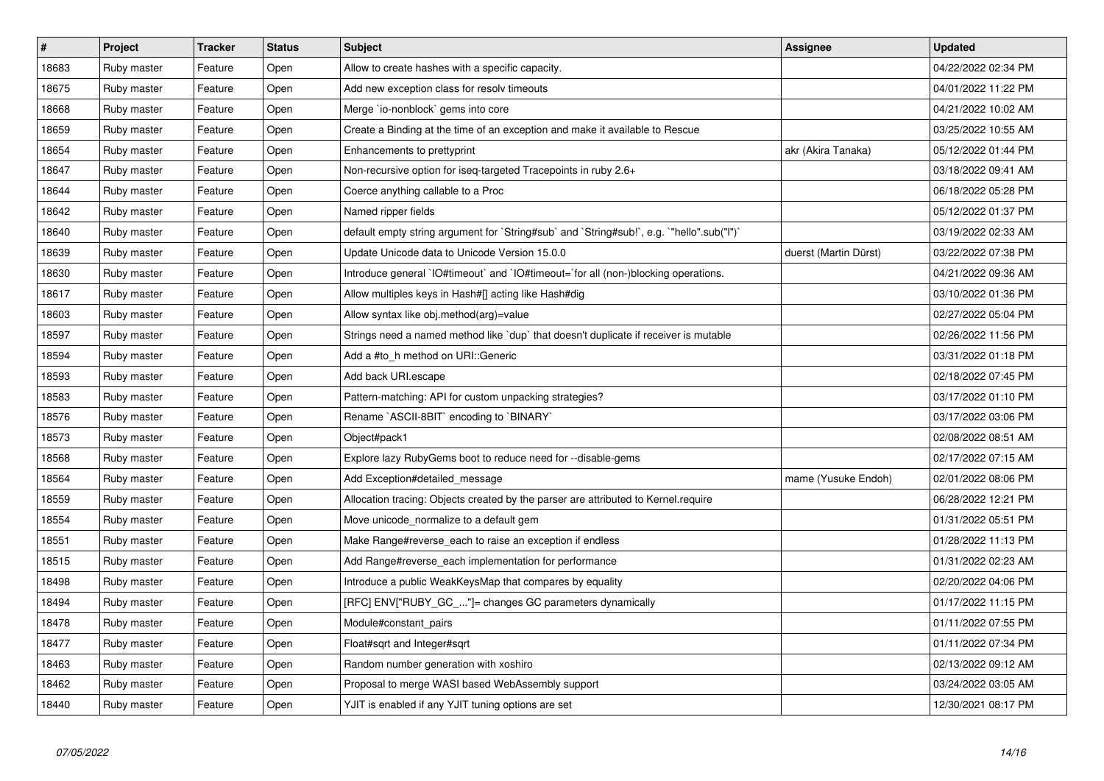| $\vert$ # | <b>Project</b> | <b>Tracker</b> | <b>Status</b> | <b>Subject</b>                                                                            | Assignee              | <b>Updated</b>      |
|-----------|----------------|----------------|---------------|-------------------------------------------------------------------------------------------|-----------------------|---------------------|
| 18683     | Ruby master    | Feature        | Open          | Allow to create hashes with a specific capacity.                                          |                       | 04/22/2022 02:34 PM |
| 18675     | Ruby master    | Feature        | Open          | Add new exception class for resolv timeouts                                               |                       | 04/01/2022 11:22 PM |
| 18668     | Ruby master    | Feature        | Open          | Merge `io-nonblock` gems into core                                                        |                       | 04/21/2022 10:02 AM |
| 18659     | Ruby master    | Feature        | Open          | Create a Binding at the time of an exception and make it available to Rescue              |                       | 03/25/2022 10:55 AM |
| 18654     | Ruby master    | Feature        | Open          | Enhancements to prettyprint                                                               | akr (Akira Tanaka)    | 05/12/2022 01:44 PM |
| 18647     | Ruby master    | Feature        | Open          | Non-recursive option for iseq-targeted Tracepoints in ruby 2.6+                           |                       | 03/18/2022 09:41 AM |
| 18644     | Ruby master    | Feature        | Open          | Coerce anything callable to a Proc                                                        |                       | 06/18/2022 05:28 PM |
| 18642     | Ruby master    | Feature        | Open          | Named ripper fields                                                                       |                       | 05/12/2022 01:37 PM |
| 18640     | Ruby master    | Feature        | Open          | default empty string argument for `String#sub` and `String#sub!`, e.g. `"hello".sub("I")` |                       | 03/19/2022 02:33 AM |
| 18639     | Ruby master    | Feature        | Open          | Update Unicode data to Unicode Version 15.0.0                                             | duerst (Martin Dürst) | 03/22/2022 07:38 PM |
| 18630     | Ruby master    | Feature        | Open          | Introduce general `IO#timeout` and `IO#timeout=`for all (non-)blocking operations.        |                       | 04/21/2022 09:36 AM |
| 18617     | Ruby master    | Feature        | Open          | Allow multiples keys in Hash#[] acting like Hash#dig                                      |                       | 03/10/2022 01:36 PM |
| 18603     | Ruby master    | Feature        | Open          | Allow syntax like obj.method(arg)=value                                                   |                       | 02/27/2022 05:04 PM |
| 18597     | Ruby master    | Feature        | Open          | Strings need a named method like `dup` that doesn't duplicate if receiver is mutable      |                       | 02/26/2022 11:56 PM |
| 18594     | Ruby master    | Feature        | Open          | Add a #to h method on URI::Generic                                                        |                       | 03/31/2022 01:18 PM |
| 18593     | Ruby master    | Feature        | Open          | Add back URI.escape                                                                       |                       | 02/18/2022 07:45 PM |
| 18583     | Ruby master    | Feature        | Open          | Pattern-matching: API for custom unpacking strategies?                                    |                       | 03/17/2022 01:10 PM |
| 18576     | Ruby master    | Feature        | Open          | Rename `ASCII-8BIT` encoding to `BINARY`                                                  |                       | 03/17/2022 03:06 PM |
| 18573     | Ruby master    | Feature        | Open          | Object#pack1                                                                              |                       | 02/08/2022 08:51 AM |
| 18568     | Ruby master    | Feature        | Open          | Explore lazy RubyGems boot to reduce need for --disable-gems                              |                       | 02/17/2022 07:15 AM |
| 18564     | Ruby master    | Feature        | Open          | Add Exception#detailed message                                                            | mame (Yusuke Endoh)   | 02/01/2022 08:06 PM |
| 18559     | Ruby master    | Feature        | Open          | Allocation tracing: Objects created by the parser are attributed to Kernel.require        |                       | 06/28/2022 12:21 PM |
| 18554     | Ruby master    | Feature        | Open          | Move unicode_normalize to a default gem                                                   |                       | 01/31/2022 05:51 PM |
| 18551     | Ruby master    | Feature        | Open          | Make Range#reverse each to raise an exception if endless                                  |                       | 01/28/2022 11:13 PM |
| 18515     | Ruby master    | Feature        | Open          | Add Range#reverse_each implementation for performance                                     |                       | 01/31/2022 02:23 AM |
| 18498     | Ruby master    | Feature        | Open          | Introduce a public WeakKeysMap that compares by equality                                  |                       | 02/20/2022 04:06 PM |
| 18494     | Ruby master    | Feature        | Open          | [RFC] ENV["RUBY_GC_"]= changes GC parameters dynamically                                  |                       | 01/17/2022 11:15 PM |
| 18478     | Ruby master    | Feature        | Open          | Module#constant pairs                                                                     |                       | 01/11/2022 07:55 PM |
| 18477     | Ruby master    | Feature        | Open          | Float#sqrt and Integer#sqrt                                                               |                       | 01/11/2022 07:34 PM |
| 18463     | Ruby master    | Feature        | Open          | Random number generation with xoshiro                                                     |                       | 02/13/2022 09:12 AM |
| 18462     | Ruby master    | Feature        | Open          | Proposal to merge WASI based WebAssembly support                                          |                       | 03/24/2022 03:05 AM |
| 18440     | Ruby master    | Feature        | Open          | YJIT is enabled if any YJIT tuning options are set                                        |                       | 12/30/2021 08:17 PM |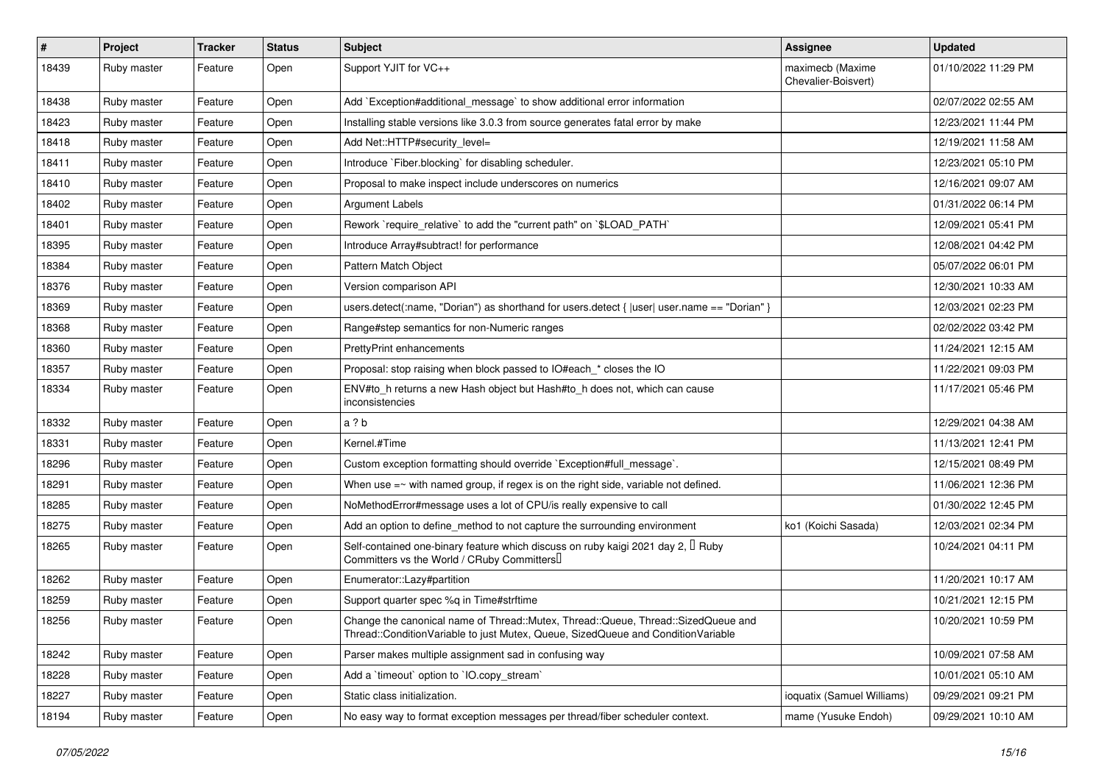| $\sharp$ | Project     | <b>Tracker</b> | <b>Status</b> | Subject                                                                                                                                                               | Assignee                                | <b>Updated</b>      |
|----------|-------------|----------------|---------------|-----------------------------------------------------------------------------------------------------------------------------------------------------------------------|-----------------------------------------|---------------------|
| 18439    | Ruby master | Feature        | Open          | Support YJIT for VC++                                                                                                                                                 | maximecb (Maxime<br>Chevalier-Boisvert) | 01/10/2022 11:29 PM |
| 18438    | Ruby master | Feature        | Open          | Add `Exception#additional message` to show additional error information                                                                                               |                                         | 02/07/2022 02:55 AM |
| 18423    | Ruby master | Feature        | Open          | Installing stable versions like 3.0.3 from source generates fatal error by make                                                                                       |                                         | 12/23/2021 11:44 PM |
| 18418    | Ruby master | Feature        | Open          | Add Net::HTTP#security_level=                                                                                                                                         |                                         | 12/19/2021 11:58 AM |
| 18411    | Ruby master | Feature        | Open          | Introduce `Fiber.blocking` for disabling scheduler.                                                                                                                   |                                         | 12/23/2021 05:10 PM |
| 18410    | Ruby master | Feature        | Open          | Proposal to make inspect include underscores on numerics                                                                                                              |                                         | 12/16/2021 09:07 AM |
| 18402    | Ruby master | Feature        | Open          | Argument Labels                                                                                                                                                       |                                         | 01/31/2022 06:14 PM |
| 18401    | Ruby master | Feature        | Open          | Rework `require_relative` to add the "current path" on `\$LOAD_PATH`                                                                                                  |                                         | 12/09/2021 05:41 PM |
| 18395    | Ruby master | Feature        | Open          | Introduce Array#subtract! for performance                                                                                                                             |                                         | 12/08/2021 04:42 PM |
| 18384    | Ruby master | Feature        | Open          | Pattern Match Object                                                                                                                                                  |                                         | 05/07/2022 06:01 PM |
| 18376    | Ruby master | Feature        | Open          | Version comparison API                                                                                                                                                |                                         | 12/30/2021 10:33 AM |
| 18369    | Ruby master | Feature        | Open          | users.detect(:name, "Dorian") as shorthand for users.detect { $ user $ user.name == "Dorian" }                                                                        |                                         | 12/03/2021 02:23 PM |
| 18368    | Ruby master | Feature        | Open          | Range#step semantics for non-Numeric ranges                                                                                                                           |                                         | 02/02/2022 03:42 PM |
| 18360    | Ruby master | Feature        | Open          | <b>PrettyPrint enhancements</b>                                                                                                                                       |                                         | 11/24/2021 12:15 AM |
| 18357    | Ruby master | Feature        | Open          | Proposal: stop raising when block passed to IO#each * closes the IO                                                                                                   |                                         | 11/22/2021 09:03 PM |
| 18334    | Ruby master | Feature        | Open          | ENV#to_h returns a new Hash object but Hash#to_h does not, which can cause<br>inconsistencies                                                                         |                                         | 11/17/2021 05:46 PM |
| 18332    | Ruby master | Feature        | Open          | a?b                                                                                                                                                                   |                                         | 12/29/2021 04:38 AM |
| 18331    | Ruby master | Feature        | Open          | Kernel.#Time                                                                                                                                                          |                                         | 11/13/2021 12:41 PM |
| 18296    | Ruby master | Feature        | Open          | Custom exception formatting should override `Exception#full_message`.                                                                                                 |                                         | 12/15/2021 08:49 PM |
| 18291    | Ruby master | Feature        | Open          | When use $=\sim$ with named group, if regex is on the right side, variable not defined.                                                                               |                                         | 11/06/2021 12:36 PM |
| 18285    | Ruby master | Feature        | Open          | NoMethodError#message uses a lot of CPU/is really expensive to call                                                                                                   |                                         | 01/30/2022 12:45 PM |
| 18275    | Ruby master | Feature        | Open          | Add an option to define_method to not capture the surrounding environment                                                                                             | ko1 (Koichi Sasada)                     | 12/03/2021 02:34 PM |
| 18265    | Ruby master | Feature        | Open          | Self-contained one-binary feature which discuss on ruby kaigi 2021 day 2, $\mathbb I$ Ruby<br>Committers vs the World / CRuby Committers <sup>[]</sup>                |                                         | 10/24/2021 04:11 PM |
| 18262    | Ruby master | Feature        | Open          | Enumerator::Lazy#partition                                                                                                                                            |                                         | 11/20/2021 10:17 AM |
| 18259    | Ruby master | Feature        | Open          | Support quarter spec %q in Time#strftime                                                                                                                              |                                         | 10/21/2021 12:15 PM |
| 18256    | Ruby master | Feature        | Open          | Change the canonical name of Thread::Mutex, Thread::Queue, Thread::SizedQueue and<br>Thread::ConditionVariable to just Mutex, Queue, SizedQueue and ConditionVariable |                                         | 10/20/2021 10:59 PM |
| 18242    | Ruby master | Feature        | Open          | Parser makes multiple assignment sad in confusing way                                                                                                                 |                                         | 10/09/2021 07:58 AM |
| 18228    | Ruby master | Feature        | Open          | Add a 'timeout' option to 'IO.copy_stream'                                                                                                                            |                                         | 10/01/2021 05:10 AM |
| 18227    | Ruby master | Feature        | Open          | Static class initialization.                                                                                                                                          | ioquatix (Samuel Williams)              | 09/29/2021 09:21 PM |
| 18194    | Ruby master | Feature        | Open          | No easy way to format exception messages per thread/fiber scheduler context.                                                                                          | mame (Yusuke Endoh)                     | 09/29/2021 10:10 AM |